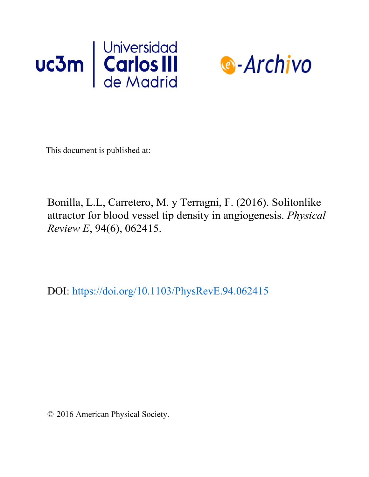



This document is published at:

Bonilla, L.L, Carretero, M. y Terragni, F. (2016). Solitonlike attractor for blood vessel tip density in angiogenesis. *Physical Review E*, 94(6), 062415.

DOI: https://doi.org/10.1103/PhysRevE.94.062415

© 2016 American Physical Society.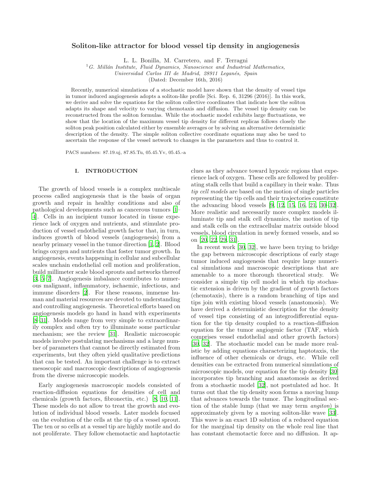# Soliton-like attractor for blood vessel tip density in angiogenesis

L. L. Bonilla, M. Carretero, and F. Terragni

<sup>1</sup>G. Millán Institute, Fluid Dynamics, Nanoscience and Industrial Mathematics,

*Universidad Carlos III de Madrid, 28911 Legan´es, Spain*

(Dated: December 16th, 2016)

Recently, numerical simulations of a stochastic model have shown that the density of vessel tips in tumor induced angiogenesis adopts a soliton-like profile [Sci. Rep. 6, 31296 (2016)]. In this work, we derive and solve the equations for the soliton collective coordinates that indicate how the soliton adapts its shape and velocity to varying chemotaxis and diffusion. The vessel tip density can be reconstructed from the soliton formulas. While the stochastic model exhibits large fluctuations, we show that the location of the maximum vessel tip density for different replicas follows closely the soliton peak position calculated either by ensemble averages or by solving an alternative deterministic description of the density. The simple soliton collective coordinate equations may also be used to ascertain the response of the vessel network to changes in the parameters and thus to control it.

PACS numbers: 87.19.uj, 87.85.Tu, 05.45.Yv, 05.45.-a

## I. INTRODUCTION

The growth of blood vessels is a complex multiscale process called angiogenesis that is the basis of organ growth and repair in healthy conditions and also of pathological developments such as cancerous tumors [\[1](#page-16-0)– [4](#page-16-1)]. Cells in an incipient tumor located in tissue experience lack of oxygen and nutrients, and stimulate production of vessel endothelial growth factor that, in turn, induces growth of blood vessels (angiogenesis) from a nearby primary vessel in the tumor direction [\[1,](#page-16-0) [2\]](#page-16-2). Blood brings oxygen and nutrients that foster tumor growth. In angiogenesis, events happening in cellular and subcellular scales unchain endothelial cell motion and proliferation, build millimeter scale blood sprouts and networks thereof [\[3,](#page-16-3) [5](#page-16-4)[–7\]](#page-16-5). Angiogenesis imbalance contributes to numerous malignant, inflammatory, ischaemic, infectious, and immune disorders [\[2](#page-16-2)]. For these reasons, immense human and material resources are devoted to understanding and controlling angiogenesis. Theoretical efforts based on angiogenesis models go hand in hand with experiments [\[8](#page-16-6)[–31\]](#page-16-7). Models range from very simple to extraordinarily complex and often try to illuminate some particular mechanism; see the review [\[31](#page-16-7)]. Realistic microscopic models involve postulating mechanisms and a large number of parameters that cannot be directly estimated from experiments, but they often yield qualitative predictions that can be tested. An important challenge is to extract mesoscopic and macroscopic descriptions of angiogenesis from the diverse microscopic models.

Early angiogenesis macroscopic models consisted of reaction-diffusion equations for densities of cell and chemicals (growth factors, fibronectin, etc.) [\[8](#page-16-6), [10,](#page-16-8) [11\]](#page-16-9). These models do not allow to treat the growth and evolution of individual blood vessels. Later models focused on the evolution of the cells at the tip of a vessel sprout. The ten or so cells at a vessel tip are highly motile and do not proliferate. They follow chemotactic and haptotactic clues as they advance toward hypoxic regions that experience lack of oxygen. These cells are followed by proliferating stalk cells that build a capillary in their wake. Thus tip cell models are based on the motion of single particles representing the tip cells and their trajectories constitute the advancing blood vessels [\[9,](#page-16-10) [12,](#page-16-11) [15](#page-16-12), [16,](#page-16-13) [21](#page-16-14), [30](#page-16-15)[–32\]](#page-16-16). More realistic and necessarily more complex models illuminate tip and stalk cell dynamics, the motion of tip and stalk cells on the extracellular matrix outside blood vessels, blood circulation in newly formed vessels, and so on [\[20,](#page-16-17) [22,](#page-16-18) [29,](#page-16-19) [31\]](#page-16-7).

In recent work [\[30,](#page-16-15) [32\]](#page-16-16), we have been trying to bridge the gap between microscopic descriptions of early stage tumor induced angiogenesis that require large numerical simulations and macroscopic descriptions that are amenable to a more thorough theoretical study. We consider a simple tip cell model in which tip stochastic extension is driven by the gradient of growth factors (chemotaxis), there is a random branching of tips and tips join with existing blood vessels (anastomosis). We have derived a deterministic description for the density of vessel tips consisting of an integrodifferential equation for the tip density coupled to a reaction-diffusion equation for the tumor angiogenic factor (TAF, which comprises vessel endothelial and other growth factors) [\[30,](#page-16-15) [32\]](#page-16-16). The stochastic model can be made more realistic by adding equations characterizing haptotaxis, the influence of other chemicals or drugs, etc. While cell densities can be extracted from numerical simulations of microscopic models, our equation for the tip density [\[30](#page-16-15)] incorporates tip branching and anastomosis as derived from a stochastic model [\[32](#page-16-16)], not postulated ad hoc. It turns out that the tip density soon forms a moving lump that advances towards the tumor. The longitudinal section of the stable lump (that we may term angiton) is approximately given by a moving soliton-like wave [\[33\]](#page-16-20). This wave is an exact 1D solution of a reduced equation for the marginal tip density on the whole real line that has constant chemotactic force and no diffusion. It ap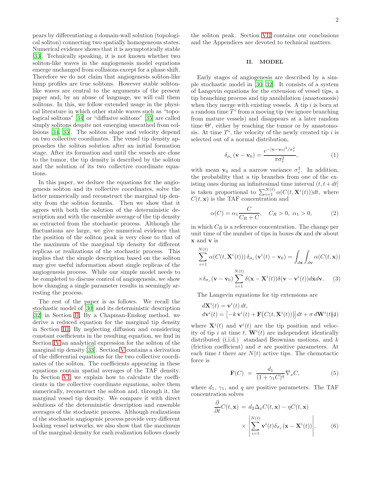pears by differentiating a domain-wall solution (topological soliton) connecting two spatially homogeneous states. Numerical evidence shows that it is asymptotically stable [\[33\]](#page-16-20). Technically speaking, it is not known whether two soliton-like waves in the angiogenesis model equations emerge unchanged from collisions except for a phase shift. Therefore we do not claim that angiogenesis soliton-like lump profiles are true solitons. However stable solitonlike waves are central to the arguments of the present paper and, by an abuse of language, we will call them solitons. In this, we follow extended usage in the physical literature in which other stable waves such as "topological solitons" [\[34\]](#page-16-21) or "diffusive solitons" [\[35](#page-16-22)] are called simply solitons despite not emerging unscathed from collisions [\[34,](#page-16-21) [35\]](#page-16-22). The soliton shape and velocity depend on two collective coordinates. The vessel tip density approaches the soliton solution after an initial formation stage. After its formation and until the vessels are close to the tumor, the tip density is described by the soliton and the solution of its two collective coordinate equations.

In this paper, we deduce the equations for the angiogenesis soliton and its collective coordinates, solve the latter numerically and reconstruct the marginal tip density from the soliton formula. Then we show that it agrees with both the solution of the deterministic description and with the ensemble average of the tip density as extracted from the stochastic process. Although the fluctuations are large, we give numerical evidence that the position of the soliton peak is very close to that of the maximum of the marginal tip density for different replicas or realizations of the stochastic process. This implies that the simple description based on the soliton may give useful information about single replicas of the angiogenesis process. While our simple model needs to be completed to discuss control of angiogenesis, we show how changing a single parameter results in seemingly arresting the process.

The rest of the paper is as follows. We recall the stochastic model of [\[30](#page-16-15)] and its deterministic description [\[32\]](#page-16-16) in Section [II.](#page-2-0) By a Chapman-Enskog method, we derive a reduced equation for the marginal tip density in Section [III.](#page-3-0) By neglecting diffusion and considering constant coefficients in the resulting equation, we find in Section [IV](#page-5-0) an analytical expression for the soliton of the marginal tip density [\[33\]](#page-16-20). Section [V](#page-5-1) contains a derivation of the differential equations for the two collective coordinates of the soliton. The coefficients appearing in these equations contain spatial averages of the TAF density. In Section [VI,](#page-7-0) we explain how to calculate the coefficients in the collective coordinate equations, solve them numerically, reconstruct the soliton and, through it, the marginal vessel tip density. We compare it with direct solutions of the deterministic description and ensemble averages of the stochastic process. Although realizations of the stochastic angiogenic process provide very different looking vessel networks, we also show that the maximum of the marginal density for each realization follows closely

the soliton peak. Section [VII](#page-9-0) contains our conclusions and the Appendices are devoted to technical matters.

## <span id="page-2-0"></span>II. MODEL

Early stages of angiogenesis are described by a simple stochastic model in [\[30](#page-16-15), [32\]](#page-16-16). It consists of a system of Langevin equations for the extension of vessel tips, a tip branching process and tip annihilation (anastomosis) when they merge with existing vessels. A tip  $i$  is born at a random time  $T^i$  from a moving tip (we ignore branching from mature vessels) and disappears at a later random time  $\Theta^i$ , either by reaching the tumor or by anastomosis. At time  $T^i$ , the velocity of the newly created tip i is selected out of a normal distribution,

<span id="page-2-2"></span>
$$
\delta_{\sigma_v}(\mathbf{v} - \mathbf{v}_0) = \frac{e^{-|\mathbf{v} - \mathbf{v}_0|^2/\sigma_v^2}}{\pi \sigma_v^2},\tag{1}
$$

with mean  $\mathbf{v}_0$  and a narrow variance  $\sigma_v^2$ . In addition, the probability that a tip branches from one of the existing ones during an infinitesimal time interval  $(t, t+dt]$ is taken proportional to  $\sum_{i=1}^{N(t)} \alpha(C(t, \mathbf{X}^i(t)))dt$ , where  $C(t, \mathbf{x})$  is the TAF concentration and

$$
\alpha(C) = \alpha_1 \frac{C}{C_R + C}, \quad C_R > 0, \quad \alpha_1 > 0,
$$
\n<sup>(2)</sup>

in which  $C_R$  is a reference concentration. The change per unit time of the number of tips in boxes  $d\mathbf{x}$  and  $d\mathbf{v}$  about x and v is

$$
\sum_{i=1}^{N(t)} \alpha(C(t, \mathbf{X}^i(t))) \delta_{\sigma_v}(\mathbf{v}^i(t) - \mathbf{v}_0) = \int_{d\mathbf{x}} \int_{d\mathbf{v}} \alpha(C(t, \mathbf{x}))
$$

$$
\times \delta_{\sigma_v}(\mathbf{v} - \mathbf{v}_0) \sum_{i=1}^{N(t)} \delta(\mathbf{x} - \mathbf{X}^i(t)) \delta(\mathbf{v} - \mathbf{v}^i(t)) d\mathbf{x} d\mathbf{v}.
$$
 (3)

The Langevin equations for tip extensions are

<span id="page-2-3"></span>
$$
d\mathbf{X}^{i}(t) = \mathbf{v}^{i}(t) dt,
$$
  
\n
$$
d\mathbf{v}^{i}(t) = [-k \mathbf{v}^{i}(t) + \mathbf{F}(C(t, \mathbf{X}^{i}(t)))]dt + \sigma d\mathbf{W}^{i}(t)\mathbf{A}^{i}
$$

where  $\mathbf{X}^{i}(t)$  and  $\mathbf{v}^{i}(t)$  are the tip position and velocity of tip i at time t,  $\mathbf{W}^{i}(t)$  are independent identically distributed (i.i.d.) standard Brownian motions, and k (friction coefficient) and  $\sigma$  are positive parameters. At each time t there are  $N(t)$  active tips. The chemotactic force is

$$
\mathbf{F}(C) = \frac{d_1}{(1 + \gamma_1 C)^q} \nabla_x C,\tag{5}
$$

where  $d_1$ ,  $\gamma_1$ , and q are positive parameters. The TAF concentration solves

<span id="page-2-1"></span>
$$
\frac{\partial}{\partial t}C(t, \mathbf{x}) = d_2 \Delta_x C(t, \mathbf{x}) - \eta C(t, \mathbf{x})
$$
\n
$$
\times \left| \sum_{i=1}^{N(t)} \mathbf{v}^i(t) \delta_{\sigma_x} (\mathbf{x} - \mathbf{X}^i(t)) \right|.
$$
\n(6)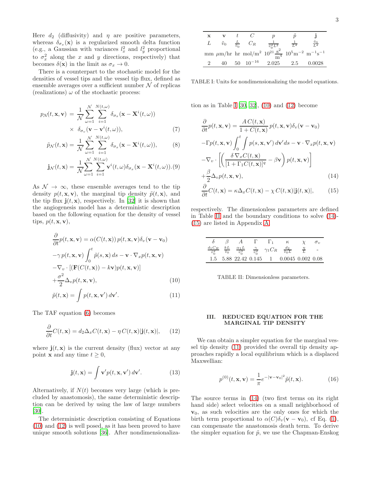Here  $d_2$  (diffusivity) and  $\eta$  are positive parameters, whereas  $\delta_{\sigma_x}(\mathbf{x})$  is a regularized smooth delta function (e.g., a Gaussian with variances  $l_x^2$  and  $l_y^2$  proportional to  $\sigma_x^2$  along the x and y directions, respectively) that becomes  $\delta(\mathbf{x})$  in the limit as  $\sigma_x \to 0$ .

There is a counterpart to the stochastic model for the densities of vessel tips and the vessel tip flux, defined as ensemble averages over a sufficient number  ${\mathcal N}$  of replicas (realizations)  $\omega$  of the stochastic process:

$$
p_{\mathcal{N}}(t, \mathbf{x}, \mathbf{v}) = \frac{1}{\mathcal{N}} \sum_{\omega=1}^{\mathcal{N}} \sum_{i=1}^{N(t, \omega)} \delta_{\sigma_x}(\mathbf{x} - \mathbf{X}^i(t, \omega))
$$
  
  $\times \delta_{\sigma_v}(\mathbf{v} - \mathbf{v}^i(t, \omega)),$  (7)

$$
\tilde{p}_{\mathcal{N}}(t,\mathbf{x}) = \frac{1}{\mathcal{N}} \sum_{\omega=1}^{\mathcal{N}} \sum_{i=1}^{N(t,\omega)} \delta_{\sigma_x}(\mathbf{x} - \mathbf{X}^i(t,\omega)), \tag{8}
$$

$$
\mathbf{j}_{\mathcal{N}}(t,\mathbf{x}) = \frac{1}{\mathcal{N}} \sum_{\omega=1}^{\mathcal{N}} \sum_{i=1}^{N(t,\omega)} \mathbf{v}^{i}(t,\omega) \delta_{\sigma_{x}}(\mathbf{x} - \mathbf{X}^{i}(t,\omega)).(9)
$$

As  $\mathcal{N} \rightarrow \infty$ , these ensemble averages tend to the tip density  $p(t, \mathbf{x}, \mathbf{v})$ , the marginal tip density  $\tilde{p}(t, \mathbf{x})$ , and the tip flux  $\mathbf{j}(t, \mathbf{x})$ , respectively. In [\[32](#page-16-16)] it is shown that the angiogenesis model has a deterministic description based on the following equation for the density of vessel tips,  $p(t, \mathbf{x}, \mathbf{v})$ ,

<span id="page-3-1"></span>
$$
\frac{\partial}{\partial t}p(t, \mathbf{x}, \mathbf{v}) = \alpha(C(t, \mathbf{x})) p(t, \mathbf{x}, \mathbf{v}) \delta_v(\mathbf{v} - \mathbf{v}_0)
$$

$$
-\gamma p(t, \mathbf{x}, \mathbf{v}) \int_0^t \tilde{p}(s, \mathbf{x}) ds - \mathbf{v} \cdot \nabla_x p(t, \mathbf{x}, \mathbf{v})
$$

$$
-\nabla_v \cdot [(\mathbf{F}(C(t, \mathbf{x})) - k\mathbf{v})p(t, \mathbf{x}, \mathbf{v})]
$$

$$
+\frac{\sigma^2}{2} \Delta_v p(t, \mathbf{x}, \mathbf{v}),
$$
(10)

$$
\tilde{p}(t, \mathbf{x}) = \int p(t, \mathbf{x}, \mathbf{v}') d\mathbf{v}'. \tag{11}
$$

The TAF equation [\(6\)](#page-2-1) becomes

<span id="page-3-2"></span>
$$
\frac{\partial}{\partial t}C(t, \mathbf{x}) = d_2 \Delta_x C(t, \mathbf{x}) - \eta C(t, \mathbf{x}) |\mathbf{j}(t, \mathbf{x})|, \qquad (12)
$$

where  $\mathbf{j}(t, \mathbf{x})$  is the current density (flux) vector at any point **x** and any time  $t \geq 0$ ,

<span id="page-3-7"></span>
$$
\mathbf{j}(t, \mathbf{x}) = \int \mathbf{v}' p(t, \mathbf{x}, \mathbf{v}') d\mathbf{v}'. \tag{13}
$$

Alternatively, if  $N(t)$  becomes very large (which is precluded by anastomosis), the same deterministic description can be derived by using the law of large numbers [\[30\]](#page-16-15).

The deterministic description consisting of Equations [\(10\)](#page-3-1) and [\(12\)](#page-3-2) is well posed, as it has been proved to have unique smooth solutions [\[36\]](#page-16-23). After nondimensionaliza-

<span id="page-3-3"></span>TABLE I: Units for nondimensionalizing the model equations.

tion as in Table [I](#page-3-3)  $[30, 32]$  $[30, 32]$ ,  $(10)$  and  $(12)$  become

<span id="page-3-5"></span>
$$
\frac{\partial}{\partial t}p(t, \mathbf{x}, \mathbf{v}) = \frac{AC(t, \mathbf{x})}{1 + C(t, \mathbf{x})} p(t, \mathbf{x}, \mathbf{v}) \delta_v(\mathbf{v} - \mathbf{v}_0)
$$

$$
- \Gamma p(t, \mathbf{x}, \mathbf{v}) \int_0^t \int p(s, \mathbf{x}, \mathbf{v}') d\mathbf{v}' ds - \mathbf{v} \cdot \nabla_x p(t, \mathbf{x}, \mathbf{v})
$$

$$
- \nabla_v \cdot \left[ \left( \frac{\delta \nabla_x C(t, \mathbf{x})}{[1 + \Gamma_1 C(t, \mathbf{x})]^q} - \beta \mathbf{v} \right) p(t, \mathbf{x}, \mathbf{v}) \right]
$$

$$
+ \frac{\beta}{2} \Delta_v p(t, \mathbf{x}, \mathbf{v}), \qquad (14)
$$

$$
\frac{\partial}{\partial t}C(t, \mathbf{x}) = \kappa \Delta_x C(t, \mathbf{x}) - \chi C(t, \mathbf{x}) |\mathbf{j}(t, \mathbf{x})|, \qquad (15)
$$

respectively. The dimensionless parameters are defined in Table [II](#page-3-4) and the boundary conditions to solve [\(14\)](#page-3-5)- [\(15\)](#page-3-5) are listed in Appendix [A.](#page-10-0)

|  |  |                                                                                                                                                                                                          | $\sigma_{v}$ |
|--|--|----------------------------------------------------------------------------------------------------------------------------------------------------------------------------------------------------------|--------------|
|  |  | $\begin{array}{ccccc}\n\frac{d_1 C_R}{\tilde{v}_0^2} & \frac{kL}{\tilde{v}_0} & \frac{\alpha_1 L}{\tilde{v}_0^3} & \frac{\gamma}{\tilde{v}_0^2} & \gamma_1 C_R & \frac{d_2}{\tilde{v}_0 L}\n\end{array}$ |              |
|  |  | 1.5 5.88 22.42 0.145 1 0.0045 0.002 0.08                                                                                                                                                                 |              |

<span id="page-3-4"></span>TABLE II: Dimensionless parameters.

### <span id="page-3-0"></span>III. REDUCED EQUATION FOR THE MARGINAL TIP DENSITY

We can obtain a simpler equation for the marginal vessel tip density [\(11\)](#page-3-1) provided the overall tip density approaches rapidly a local equilibrium which is a displaced Maxwellian:

<span id="page-3-6"></span>
$$
p^{(0)}(t, \mathbf{x}, \mathbf{v}) = \frac{1}{\pi} e^{-|\mathbf{v} - \mathbf{v}_0|^2} \tilde{p}(t, \mathbf{x}).
$$
 (16)

The source terms in [\(14\)](#page-3-5) (two first terms on its right hand side) select velocities on a small neighborhood of  $v_0$ , as such velocities are the only ones for which the birth term proportional to  $\alpha(C)\delta_v(\mathbf{v}-\mathbf{v}_0)$ , cf Eq. [\(1\)](#page-2-2), can compensate the anastomosis death term. To derive the simpler equation for  $\tilde{p}$ , we use the Chapman-Enskog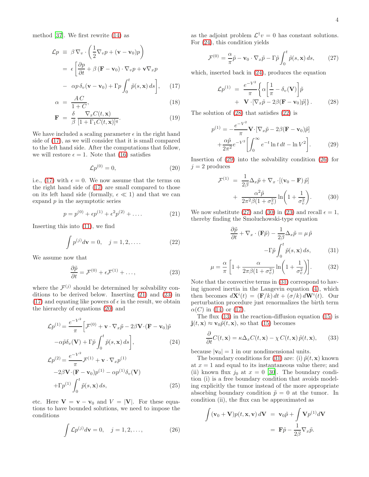method [\[37\]](#page-16-24). We first rewrite [\(14\)](#page-3-5) as

<span id="page-4-0"></span>
$$
\mathcal{L}p \equiv \beta \nabla_v \cdot \left(\frac{1}{2} \nabla_v p + (\mathbf{v} - \mathbf{v}_0)p\right)
$$
  
=  $\epsilon \left[\frac{\partial p}{\partial t} + \beta (\mathbf{F} - \mathbf{v}_0) \cdot \nabla_v p + \mathbf{v} \nabla_x p\right]$   
-  $\alpha p \delta_v (\mathbf{v} - \mathbf{v}_0) + \Gamma p \int_0^t \tilde{p}(s, \mathbf{x}) ds \right],$  (17)

$$
\alpha = \frac{AC}{1+C},\tag{18}
$$

$$
\mathbf{F} = \frac{\delta}{\beta} \frac{\nabla_x C(t, \mathbf{x})}{[1 + \Gamma_1 C(t, \mathbf{x})]^q}.
$$
 (19)

We have included a scaling parameter  $\epsilon$  in the right hand side of [\(17\)](#page-4-0), as we will consider that it is small compared to the left hand side. After the computations that follow, we will restore  $\epsilon = 1$ . Note that [\(16\)](#page-3-6) satisfies

<span id="page-4-3"></span>
$$
\mathcal{L}p^{(0)} = 0,\t\t(20)
$$

i.e., [\(17\)](#page-4-0) with  $\epsilon = 0$ . We now assume that the terms on the right hand side of [\(17\)](#page-4-0) are small compared to those on its left hand side (formally,  $\epsilon \ll 1$ ) and that we can expand  $p$  in the asymptotic series

<span id="page-4-1"></span>
$$
p = p^{(0)} + \epsilon p^{(1)} + \epsilon^2 p^{(2)} + \dots
$$
 (21)

Inserting this into [\(11\)](#page-3-1), we find

<span id="page-4-6"></span>
$$
\int p^{(j)} d\mathbf{v} = 0, \quad j = 1, 2, \dots.
$$
 (22)

We assume now that

<span id="page-4-2"></span>
$$
\frac{\partial \tilde{p}}{\partial t} = \mathcal{F}^{(0)} + \epsilon \mathcal{F}^{(1)} + \dots,\tag{23}
$$

where the  $\mathcal{F}^{(j)}$  should be determined by solvability conditions to be derived below. Inserting [\(21\)](#page-4-1) and [\(23\)](#page-4-2) in [\(17\)](#page-4-0) and equating like powers of  $\epsilon$  in the result, we obtain the hierarchy of equations [\(20\)](#page-4-3) and

<span id="page-4-4"></span>
$$
\mathcal{L}p^{(1)} = \frac{e^{-V^2}}{\pi} \Big[ \mathcal{F}^{(0)} + \mathbf{v} \cdot \nabla_x \tilde{p} - 2\beta \mathbf{V} \cdot (\mathbf{F} - \mathbf{v}_0) \tilde{p} -\alpha \tilde{p} \delta_v(\mathbf{V}) + \Gamma \tilde{p} \int_0^t \tilde{p}(s, \mathbf{x}) ds \Big],
$$
\n(24)

$$
\mathcal{L}p^{(2)} = \frac{e^{-V^2}}{\pi} \mathcal{F}^{(1)} + \mathbf{v} \cdot \nabla_x p^{(1)}
$$

$$
-2\beta \mathbf{V} \cdot (\mathbf{F} - \mathbf{v}_0) p^{(1)} - \alpha p^{(1)} \delta_v(\mathbf{V})
$$

$$
+ \Gamma p^{(1)} \int_0^t \tilde{p}(s, \mathbf{x}) ds,
$$
(25)

etc. Here  $V = v - v_0$  and  $V = |V|$ . For these equations to have bounded solutions, we need to impose the conditions

<span id="page-4-8"></span>
$$
\int \mathcal{L}p^{(j)}d\mathbf{v} = 0, \quad j = 1, 2, \dots,
$$
\n(26)

as the adjoint problem  $\mathcal{L}^{\dagger}v = 0$  has constant solutions. For [\(24\)](#page-4-4), this condition yields

<span id="page-4-9"></span>
$$
\mathcal{F}^{(0)} = \frac{\alpha}{\pi} \tilde{p} - \mathbf{v}_0 \cdot \nabla_x \tilde{p} - \Gamma \tilde{p} \int_0^t \tilde{p}(s, \mathbf{x}) ds, \qquad (27)
$$

which, inserted back in [\(24\)](#page-4-4), produces the equation

<span id="page-4-5"></span>
$$
\mathcal{L}p^{(1)} = \frac{e^{-V^2}}{\pi} \left\{ \alpha \left[ \frac{1}{\pi} - \delta_v(\mathbf{V}) \right] \tilde{p} + \mathbf{V} \cdot \left[ \nabla_x \tilde{p} - 2\beta (\mathbf{F} - \mathbf{v}_0) \tilde{p} \right] \right\}.
$$
 (28)

The solution of [\(28\)](#page-4-5) that satisfies [\(22\)](#page-4-6) is

<span id="page-4-7"></span>
$$
p^{(1)} = -\frac{e^{-V^2}}{\pi} \mathbf{V} \cdot [\nabla_x \tilde{p} - 2\beta (\mathbf{F} - \mathbf{v}_0) \tilde{p}] + \frac{\alpha \tilde{p}}{2\pi^2} e^{-V^2} \left[ \int_0^\infty e^{-t} \ln t \, dt - \ln V^2 \right].
$$
 (29)

Insertion of [\(29\)](#page-4-7) into the solvability condition [\(26\)](#page-4-8) for  $i = 2$  produces

<span id="page-4-10"></span>
$$
\mathcal{F}^{(1)} = \frac{1}{2\beta} \Delta_x \tilde{p} + \nabla_x \cdot [(\mathbf{v}_0 - \mathbf{F}) \tilde{p}] + \frac{\alpha^2 \tilde{p}}{2\pi^2 \beta (1 + \sigma_v^2)} \ln\left(1 + \frac{1}{\sigma_v^2}\right).
$$
 (30)

We now substitute [\(27\)](#page-4-9) and [\(30\)](#page-4-10) in [\(23\)](#page-4-2) and recall  $\epsilon = 1$ , thereby finding the Smoluchowski-type equation

<span id="page-4-11"></span> $\partial \tilde{p}$ 

$$
\frac{\partial \tilde{p}}{\partial t} + \nabla_x \cdot (\mathbf{F}\tilde{p}) - \frac{1}{2\beta} \Delta_x \tilde{p} = \mu \tilde{p}
$$

$$
-\Gamma \tilde{p} \int_0^t \tilde{p}(s, \mathbf{x}) ds, \qquad (31)
$$

$$
\mu = -\frac{\alpha}{\pi} \left[ 1 + \frac{\alpha}{2\pi\beta(1 + \sigma_v^2)} \ln\left(1 + \frac{1}{\sigma_v^2}\right) \right].
$$
 (32)

Note that the convective terms in [\(31\)](#page-4-11) correspond to having ignored inertia in the Langevin equation [\(4\)](#page-2-3), which then becomes  $d\mathbf{X}^i(t) = (\mathbf{F}/k) dt + (\sigma/k) d\mathbf{W}^i(t)$ . Our perturbation procedure just renormalizes the birth term  $\alpha(C)$  in [\(14\)](#page-3-5) or [\(17\)](#page-4-0).

The flux [\(13\)](#page-3-7) in the reaction-diffusion equation [\(15\)](#page-3-5) is  $\mathbf{j}(t, \mathbf{x}) \approx \mathbf{v}_0 \tilde{p}(t, \mathbf{x})$ , so that [\(15\)](#page-3-5) becomes

<span id="page-4-12"></span>
$$
\frac{\partial}{\partial t}C(t, \mathbf{x}) = \kappa \Delta_x C(t, \mathbf{x}) - \chi C(t, \mathbf{x}) \tilde{p}(t, \mathbf{x}), \qquad (33)
$$

because  $|\mathbf{v}_0| = 1$  in our nondimensional units.

The boundary conditions for [\(31\)](#page-4-11) are: (i)  $\tilde{p}(t, \mathbf{x})$  known at  $x = 1$  and equal to its instantaneous value there; and (ii) known flux  $j_0$  at  $x = 0$  [\[30](#page-16-15)]. The boundary condition (i) is a free boundary condition that avoids modeling explicitly the tumor instead of the more appropriate absorbing boundary condition  $\tilde{p} = 0$  at the tumor. In condition (ii), the flux can be approximated as

$$
\int (\mathbf{v}_0 + \mathbf{V}) p(t, \mathbf{x}, \mathbf{v}) d\mathbf{V} = \mathbf{v}_0 \tilde{p} + \int \mathbf{V} p^{(1)} d\mathbf{V}
$$

$$
= \mathbf{F} \tilde{p} - \frac{1}{2\beta} \nabla_x \tilde{p}.
$$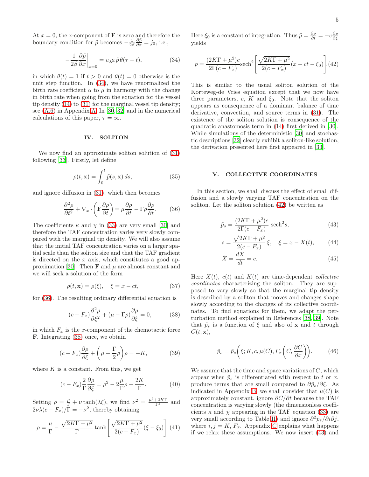At  $x = 0$ , the x-component of **F** is zero and therefore the boundary condition for  $\tilde{p}$  becomes  $-\frac{1}{2\beta} \frac{\partial \tilde{p}}{\partial x} = j_0$ , i.e.,

<span id="page-5-2"></span>
$$
-\frac{1}{2\beta} \frac{\partial \tilde{p}}{\partial x}\Big|_{x=0} = v_0 \mu \tilde{p} \theta(\tau - t), \tag{34}
$$

in which  $\theta(t) = 1$  if  $t > 0$  and  $\theta(t) = 0$  otherwise is the unit step function. In [\(34\)](#page-5-2), we have renormalized the birth rate coefficient  $\alpha$  to  $\mu$  in harmony with the change in birth rate when going from the equation for the vessel tip density [\(14\)](#page-3-5) to [\(31\)](#page-4-11) for the marginal vessel tip density; see [\(A.6\)](#page-11-0) in Appendix [A.](#page-10-0) In [\[30](#page-16-15), [32\]](#page-16-16) and in the numerical calculations of this paper,  $\tau = \infty$ .

#### <span id="page-5-0"></span>IV. SOLITON

We now find an approximate soliton solution of [\(31\)](#page-4-11) following [\[33\]](#page-16-20). Firstly, let define

$$
\rho(t, \mathbf{x}) = \int_0^t \tilde{p}(s, \mathbf{x}) \, ds,\tag{35}
$$

and ignore diffusion in [\(31\)](#page-4-11), which then becomes

<span id="page-5-3"></span>
$$
\frac{\partial^2 \rho}{\partial t^2} + \nabla_x \cdot \left( \mathbf{F} \frac{\partial \rho}{\partial t} \right) = \mu \frac{\partial \rho}{\partial t} - \Gamma \rho \frac{\partial \rho}{\partial t}.
$$
 (36)

The coefficients  $\kappa$  and  $\chi$  in [\(33\)](#page-4-12) are very small [\[30\]](#page-16-15) and therefore the TAF concentration varies very slowly compared with the marginal tip density. We will also assume that the initial TAF concentration varies on a larger spatial scale than the soliton size and that the TAF gradient is directed on the  $x$  axis, which constitutes a good ap-proximation [\[30](#page-16-15)]. Then  $\bf{F}$  and  $\mu$  are almost constant and we will seek a solution of the form

$$
\rho(t, \mathbf{x}) = \rho(\xi), \quad \xi = x - ct,\tag{37}
$$

for [\(36\)](#page-5-3). The resulting ordinary differential equation is

<span id="page-5-4"></span>
$$
(c - F_x) \frac{\partial^2 \rho}{\partial \xi^2} + (\mu - \Gamma \rho) \frac{\partial \rho}{\partial \xi} = 0, \tag{38}
$$

in which  $F_x$  is the x-component of the chemotactic force F. Integrating [\(38\)](#page-5-4) once, we obtain

$$
(c - F_x) \frac{\partial \rho}{\partial \xi} + \left(\mu - \frac{\Gamma}{2}\rho\right) \rho = -K,\tag{39}
$$

where  $K$  is a constant. From this, we get

$$
(c - F_x) \frac{2}{\Gamma} \frac{\partial \rho}{\partial \xi} = \rho^2 - 2 \frac{\mu}{\Gamma} \rho - \frac{2K}{\Gamma}.
$$
 (40)

Setting  $\rho = \frac{\mu}{\Gamma} + \nu \tanh(\lambda \xi)$ , we find  $\nu^2 = \frac{\mu^2 + 2KT}{\Gamma^2}$  and  $2\nu\lambda(c - F_x)/\Gamma = -\nu^2$ , thereby obtaining

$$
\rho = \frac{\mu}{\Gamma} - \frac{\sqrt{2KT + \mu^2}}{\Gamma} \tanh\left[\frac{\sqrt{2KT + \mu^2}}{2(c - F_x)} (\xi - \xi_0)\right]. (41)
$$

Here  $\xi_0$  is a constant of integration. Thus  $\tilde{p} = \frac{\partial \rho}{\partial t} = -c \frac{\partial \rho}{\partial \xi}$ yields

<span id="page-5-5"></span>
$$
\tilde{p} = \frac{(2K\Gamma + \mu^2)c}{2\Gamma(c - F_x)} \text{sech}^2 \left[ \frac{\sqrt{2K\Gamma + \mu^2}}{2(c - F_x)} (x - ct - \xi_0) \right]. (42)
$$

This is similar to the usual soliton solution of the Korteweg-de Vries equation except that we now have three parameters,  $c, K$  and  $\xi_0$ . Note that the soliton appears as consequence of a dominant balance of time derivative, convection, and source terms in [\(31\)](#page-4-11). The existence of the soliton solution is consequence of the quadratic anastomosis term in [\(14\)](#page-3-5) first derived in [\[30\]](#page-16-15). While simulations of the deterministic [\[30](#page-16-15)] and stochastic descriptions [\[32\]](#page-16-16) clearly exhibit a soliton-like solution, the derivation presented here first appeared in [\[33](#page-16-20)].

#### <span id="page-5-1"></span>V. COLLECTIVE COORDINATES

In this section, we shall discuss the effect of small diffusion and a slowly varying TAF concentration on the soliton. Let the soliton solution [\(42\)](#page-5-5) be written as

<span id="page-5-6"></span>
$$
\tilde{p}_s = \frac{(2K\Gamma + \mu^2)c}{2\Gamma(c - F_x)} \operatorname{sech}^2 s,\tag{43}
$$

$$
s = \frac{\sqrt{2KT + \mu^2}}{2(c - F_x)} \xi, \quad \xi = x - X(t), \tag{44}
$$

$$
\dot{X} = \frac{dX}{dt} = c.
$$
\n(45)

Here  $X(t)$ ,  $c(t)$  and  $K(t)$  are time-dependent *collective* coordinates characterizing the soliton. They are supposed to vary slowly so that the marginal tip density is described by a soliton that moves and changes shape slowly according to the changes of its collective coordinates. To find equations for them, we adapt the perturbation method explained in References [\[38,](#page-17-0) [39](#page-17-1)]. Note that  $\tilde{p}_s$  is a function of  $\xi$  and also of **x** and t through  $C(t, \mathbf{x}),$ 

<span id="page-5-7"></span>
$$
\tilde{p}_s = \tilde{p}_s\left(\xi; K, c, \mu(C), F_x\left(C, \frac{\partial C}{\partial x}\right)\right). \tag{46}
$$

We assume that the time and space variations of  $C$ , which appear when  $\tilde{p}_s$  is differentiated with respect to t or x, produce terms that are small compared to  $\partial \tilde{p}_s / \partial \xi$ . As indicated in Appendix [B,](#page-11-1) we shall consider that  $\mu(C)$  is approximately constant, ignore  $\partial C/\partial t$  because the TAF concentration is varying slowly (the dimensionless coefficients  $\kappa$  and  $\chi$  appearing in the TAF equation [\(33\)](#page-4-12) are very small according to Table [II\)](#page-3-4) and ignore  $\partial^2 \tilde{p}_s / \partial i \partial j$ , where  $i, j = K, F_x$ . Appendix [C](#page-11-2) explains what happens if we relax these assumptions. We now insert [\(43\)](#page-5-6) and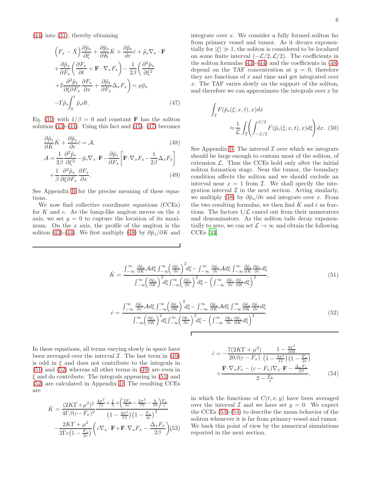[\(44\)](#page-5-6) into [\(31\)](#page-4-11), thereby obtaining

<span id="page-6-0"></span>
$$
\left(F_x - \dot{X}\right) \frac{\partial \tilde{p}_s}{\partial \xi} + \frac{\partial \tilde{p}_s}{\partial K} \dot{K} + \frac{\partial \tilde{p}_s}{\partial c} \dot{c} + \tilde{p}_s \nabla_x \cdot \mathbf{F}
$$

$$
+ \frac{\partial \tilde{p}_s}{\partial F_x} \left(\frac{\partial F_x}{\partial t} + \mathbf{F} \cdot \nabla_x F_x\right) - \frac{1}{2\beta} \left(\frac{\partial^2 \tilde{p}_s}{\partial \xi^2} + 2 \frac{\partial^2 \tilde{p}_s}{\partial \xi \partial F_x} \frac{\partial F_x}{\partial x} + \frac{\partial \tilde{p}_s}{\partial F_x} \Delta_x F_x\right) = \mu \tilde{p}_s
$$

$$
- \Gamma \tilde{p}_s \int_0^t \tilde{p}_s dt. \tag{47}
$$

Eq. [\(31\)](#page-4-11) with  $1/\beta = 0$  and constant **F** has the soliton solution  $(43)-(44)$  $(43)-(44)$ . Using this fact and  $(45)$ ,  $(47)$  becomes

<span id="page-6-1"></span>
$$
\frac{\partial \tilde{p}_s}{\partial K} \dot{K} + \frac{\partial \tilde{p}_s}{\partial c} \dot{c} = \mathcal{A},\tag{48}
$$
\n
$$
A = \frac{1}{2} \frac{\partial^2 \tilde{p}_s}{\partial s} \tilde{g}_s \tilde{\Sigma} \tilde{\Sigma} \tilde{\Sigma} \tilde{\Sigma} \tilde{\Sigma} \tilde{\Sigma} \tilde{\Sigma} \tilde{\Sigma} \tilde{\Sigma} \tilde{\Sigma} \tilde{\Sigma} \tilde{\Sigma} \tilde{\Sigma} \tilde{\Sigma} \tilde{\Sigma} \tilde{\Sigma} \tilde{\Sigma} \tilde{\Sigma} \tilde{\Sigma} \tilde{\Sigma} \tilde{\Sigma} \tilde{\Sigma} \tilde{\Sigma} \tilde{\Sigma} \tilde{\Sigma} \tilde{\Sigma} \tilde{\Sigma} \tilde{\Sigma} \tilde{\Sigma} \tilde{\Sigma} \tilde{\Sigma} \tilde{\Sigma} \tilde{\Sigma} \tilde{\Sigma} \tilde{\Sigma} \tilde{\Sigma} \tilde{\Sigma} \tilde{\Sigma} \tilde{\Sigma} \tilde{\Sigma} \tilde{\Sigma} \tilde{\Sigma} \tilde{\Sigma} \tilde{\Sigma} \tilde{\Sigma} \tilde{\Sigma} \tilde{\Sigma} \tilde{\Sigma} \tilde{\Sigma} \tilde{\Sigma} \tilde{\Sigma} \tilde{\Sigma} \tilde{\Sigma} \tilde{\Sigma} \tilde{\Sigma} \tilde{\Sigma} \tilde{\Sigma} \tilde{\Sigma} \tilde{\Sigma} \tilde{\Sigma} \tilde{\Sigma} \tilde{\Sigma} \tilde{\Sigma} \tilde{\Sigma} \tilde{\Sigma} \tilde{\Sigma} \tilde{\Sigma} \tilde{\Sigma} \tilde{\Sigma} \tilde{\Sigma} \tilde{\Sigma} \tilde{\Sigma} \tilde{\Sigma} \tilde{\Sigma} \tilde{\Sigma} \tilde{\Sigma} \tilde{\Sigma} \tilde{\Sigma} \tilde{\Sigma} \tilde{\Sigma} \tilde{\Sigma} \tilde{\Sigma} \tilde{\Sigma} \tilde{\Sigma} \tilde{\Sigma} \tilde{\Sigma} \tilde{\Sigma} \tilde{\Sigma} \tilde{\Sigma} \tilde{\Sigma} \tilde{\Sigma} \tilde{\Sigma} \tilde{\Sigma} \tilde{\Sigma} \tilde{\Sigma} \tilde{\Sigma} \tilde{\Sigma} \tilde{\Sigma} \tilde{\Sigma} \tilde{\Sigma} \tilde{\Sigma} \tilde{\Sigma} \tilde{\Sigma} \tilde{\Sigma} \tilde{\Sigma} \tilde{\Sigma} \tilde{\Sigma} \tilde{\Sigma} \tilde{\Sigma} \tilde{\Sigma} \
$$

$$
\mathcal{A} = \frac{1}{2\beta} \frac{\partial \overline{P} s}{\partial \xi^2} - \tilde{p}_s \nabla_x \cdot \mathbf{F} - \frac{\partial \overline{P} s}{\partial F_x} \left[ \mathbf{F} \cdot \nabla_x F_x - \frac{1}{2\beta} \Delta_x F_x \right] + \frac{1}{\beta} \frac{\partial^2 \tilde{p}_s}{\partial \xi \partial F_x} \frac{\partial F_x}{\partial x}.
$$
(49)

See Appendix [B](#page-11-1) for the precise meaning of these equations.

We now find collective coordinate equations (CCEs) for  $K$  and  $c$ . As the lump-like angiton moves on the  $x$ axis, we set  $y = 0$  to capture the location of its maximum. On the  $x$  axis, the profile of the angiton is the soliton [\(43\)](#page-5-6)-[\(44\)](#page-5-6). We first multiply [\(48\)](#page-6-1) by  $\partial \tilde{p}_s / \partial K$  and

integrate over  $x$ . We consider a fully formed soliton far from primary vessel and tumor. As it decays exponentially for  $|\xi| \gg 1$ , the soliton is considered to be localized on some finite interval  $(-\mathcal{L}/2, \mathcal{L}/2)$ . The coefficients in the soliton formulas [\(43\)](#page-5-6)-[\(44\)](#page-5-6) and the coefficients in [\(48\)](#page-6-1) depend on the TAF concentration at  $y = 0$ , therefore they are functions of  $x$  and time and get integrated over x. The TAF varies slowly on the support of the soliton, and therefore we can approximate the integrals over  $x$  by

<span id="page-6-6"></span>
$$
\int_{\mathcal{I}} F(\tilde{p}_s(\xi; x, t), x) dx
$$
\n
$$
\approx \frac{1}{\mathcal{L}} \int_{\mathcal{I}} \left( \int_{-\mathcal{L}/2}^{\mathcal{L}/2} F(\tilde{p}_s(\xi; x, t), x) d\xi \right) dx. (50)
$$

See Appendix [B.](#page-11-1) The interval  $\mathcal I$  over which we integrate should be large enough to contain most of the soliton, of extension  $\mathcal{L}$ . Thus the CCEs hold only after the initial soliton formation stage. Near the tumor, the boundary condition affects the soliton and we should exclude an interval near  $x = 1$  from  $\mathcal{I}$ . We shall specify the integration interval  $\mathcal I$  in the next section. Acting similarly, we multiply [\(48\)](#page-6-1) by  $\partial \tilde{p}_s / \partial c$  and integrate over x. From the two resulting formulas, we then find  $\dot{K}$  and  $\dot{c}$  as fractions. The factors  $1/\mathcal{L}$  cancel out from their numerators and denominators. As the soliton tails decay exponentially to zero, we can set  $\mathcal{L} \to \infty$  and obtain the following CCEs [\[33](#page-16-20)]

<span id="page-6-2"></span>
$$
\dot{K} = \frac{\int_{-\infty}^{\infty} \frac{\partial \tilde{p}_s}{\partial K} \mathcal{A} d\xi \int_{-\infty}^{\infty} \left(\frac{\partial \tilde{p}_s}{\partial c}\right)^2 d\xi - \int_{-\infty}^{\infty} \frac{\partial \tilde{p}_s}{\partial c} \mathcal{A} d\xi \int_{-\infty}^{\infty} \frac{\partial \tilde{p}_s}{\partial K} \frac{\partial \tilde{p}_s}{\partial c} d\xi}{\int_{-\infty}^{\infty} \left(\frac{\partial \tilde{p}_s}{\partial K}\right)^2 d\xi \int_{-\infty}^{\infty} \left(\frac{\partial \tilde{p}_s}{\partial c}\right)^2 d\xi - \left(\int_{-\infty}^{\infty} \frac{\partial \tilde{p}_s}{\partial c} \frac{\partial \tilde{p}_s}{\partial K} d\xi\right)^2},\tag{51}
$$

<span id="page-6-3"></span>
$$
\dot{c} = \frac{\int_{-\infty}^{\infty} \frac{\partial \tilde{p}_s}{\partial c} \mathcal{A} d\xi \int_{-\infty}^{\infty} \left(\frac{\partial \tilde{p}_s}{\partial K}\right)^2 d\xi - \int_{-\infty}^{\infty} \frac{\partial \tilde{p}_s}{\partial K} \mathcal{A} d\xi \int_{-\infty}^{\infty} \frac{\partial \tilde{p}_s}{\partial K} \frac{\partial \tilde{p}_s}{\partial c} d\xi}{\int_{-\infty}^{\infty} \left(\frac{\partial \tilde{p}_s}{\partial K}\right)^2 d\xi \int_{-\infty}^{\infty} \left(\frac{\partial \tilde{p}_s}{\partial c}\right)^2 d\xi - \left(\int_{-\infty}^{\infty} \frac{\partial \tilde{p}_s}{\partial c} \frac{\partial \tilde{p}_s}{\partial K} d\xi\right)^2}.
$$
\n(52)

In these equations, all terms varying slowly in space have been averaged over the interval  $\mathcal{I}$ . The last term in [\(49\)](#page-6-1) is odd in  $\xi$  and does not contribute to the integrals in [\(51\)](#page-6-2) and [\(52\)](#page-6-3) whereas all other terms in [\(49\)](#page-6-1) are even in  $\xi$  and do contribute. The integrals appearing in [\(51\)](#page-6-2) and [\(52\)](#page-6-3) are calculated in Appendix [D.](#page-14-0) The resulting CCEs are

<span id="page-6-4"></span>
$$
\dot{K} = \frac{(2K\Gamma + \mu^2)^2}{4\Gamma\beta(c - F_x)^2} \frac{\frac{4\pi^2}{75} + \frac{1}{5} + \left(\frac{2F_x}{5c} - \frac{2\pi^2}{75} - \frac{9}{10}\right)F_x}{\left(1 - \frac{4\pi^2}{15}\right)\left(1 - \frac{F_x}{2c}\right)^2} - \frac{2K\Gamma + \mu^2}{2\Gamma c\left(1 - \frac{F_x}{2c}\right)} \left(c\nabla_x \cdot \mathbf{F} + \mathbf{F} \cdot \nabla_x F_x - \frac{\Delta_x F_x}{2\beta}\right) (53)
$$

<span id="page-6-5"></span>
$$
\dot{c} = -\frac{7(2K\Gamma + \mu^2)}{20\beta(c - F_x)} \frac{1 - \frac{4\pi^2}{105}}{\left(1 - \frac{4\pi^2}{15}\right)\left(1 - \frac{F_x}{2c}\right)} \n+ \frac{\mathbf{F} \cdot \nabla_x F_x - (c - F_x) \nabla_x \cdot \mathbf{F} - \frac{\Delta_x F_x}{2\beta}}{2 - \frac{F_x}{c}},
$$
\n(54)

in which the functions of  $C(t, x, y)$  have been averaged over the interval  $\mathcal I$  and we have set  $y = 0$ . We expect the CCEs [\(53\)](#page-6-4)-[\(54\)](#page-6-5) to describe the mean behavior of the soliton whenever it is far from primary vessel and tumor. We back this point of view by the numerical simulations reported in the next section.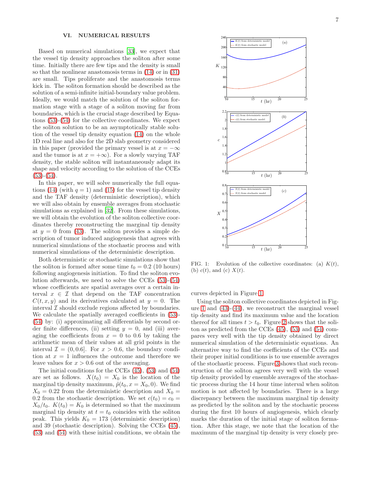## <span id="page-7-0"></span>VI. NUMERICAL RESULTS

Based on numerical simulations [\[33](#page-16-20)], we expect that the vessel tip density approaches the soliton after some time. Initially there are few tips and the density is small so that the nonlinear anastomosis terms in [\(14\)](#page-3-5) or in [\(31\)](#page-4-11) are small. Tips proliferate and the anastomosis terms kick in. The soliton formation should be described as the solution of a semi-infinite initial-boundary value problem. Ideally, we would match the solution of the soliton formation stage with a stage of a soliton moving far from boundaries, which is the crucial stage described by Equations [\(53\)](#page-6-4)-[\(54\)](#page-6-5) for the collective coordinates. We expect the soliton solution to be an asymptotically stable solution of the vessel tip density equation [\(14\)](#page-3-5) on the whole 1D real line and also for the 2D slab geometry considered in this paper (provided the primary vessel is at  $x = -\infty$ and the tumor is at  $x = +\infty$ ). For a slowly varying TAF density, the stable soliton will instantaneously adapt its shape and velocity according to the solution of the CCEs  $(53)-(54)$  $(53)-(54)$  $(53)-(54)$ .

In this paper, we will solve numerically the full equa-tions [\(14\)](#page-3-5) (with  $q = 1$ ) and [\(15\)](#page-3-5) for the vessel tip density and the TAF density (deterministic description), which we will also obtain by ensemble averages from stochastic simulations as explained in [\[32](#page-16-16)]. From these simulations, we will obtain the evolution of the soliton collective coordinates thereby reconstructing the marginal tip density at  $y = 0$  from [\(43\)](#page-5-6). The soliton provides a simple description of tumor induced angiogenesis that agrees with numerical simulations of the stochastic process and with numerical simulations of the deterministic description.

Both deterministic or stochastic simulations show that the soliton is formed after some time  $t_0 = 0.2$  (10 hours) following angiogenesis initiation. To find the soliton evolution afterwards, we need to solve the CCEs [\(53\)](#page-6-4)-[\(54\)](#page-6-5) whose coefficients are spatial averages over a certain interval  $x \in \mathcal{I}$  that depend on the TAF concentration  $C(t, x, y)$  and its derivatives calculated at  $y = 0$ . The interval  $\mathcal I$  should exclude regions affected by boundaries. We calculate the spatially averaged coefficients in [\(53\)](#page-6-4)- [\(54\)](#page-6-5) by: (i) approximating all differentials by second order finite differences, (ii) setting  $y = 0$ , and (iii) averaging the coefficients from  $x = 0$  to 0.6 by taking the arithmetic mean of their values at all grid points in the interval  $\mathcal{I} = (0, 0.6]$ . For  $x > 0.6$ , the boundary condition at  $x = 1$  influences the outcome and therefore we leave values for  $x > 0.6$  out of the averaging.

The initial conditions for the CCEs [\(45\)](#page-5-6), [\(53\)](#page-6-4) and [\(54\)](#page-6-5) are set as follows.  $X(t_0) = X_0$  is the location of the marginal tip density maximum,  $\tilde{p}(t_0, x = X_0, 0)$ . We find  $X_0 = 0.22$  from the deterministic description and  $X_0 =$ 0.2 from the stochastic description. We set  $c(t_0) = c_0$  =  $X_0/t_0$ .  $K(t_0) = K_0$  is determined so that the maximum marginal tip density at  $t = t_0$  coincides with the soliton peak. This yields  $K_0 = 173$  (deterministic description) and 39 (stochastic description). Solving the CCEs [\(45\)](#page-5-6), [\(53\)](#page-6-4) and [\(54\)](#page-6-5) with these initial conditions, we obtain the



<span id="page-7-1"></span>FIG. 1: Evolution of the collective coordinates: (a)  $K(t)$ , (b)  $c(t)$ , and (c)  $X(t)$ .

curves depicted in Figure [1.](#page-7-1)

Using the soliton collective coordinates depicted in Fig-ure [1](#page-7-1) and  $(43)-(44)$  $(43)-(44)$ , we reconstruct the marginal vessel tip density and find its maximum value and the location thereof for all times  $t > t_0$ . Figure [2](#page-8-0) shows that the soliton as predicted from the CCEs [\(45\)](#page-5-6), [\(53\)](#page-6-4) and [\(54\)](#page-6-5) compares very well with the tip density obtained by direct numerical simulation of the deterministic equations. An alternative way to find the coefficients of the CCEs and their proper initial conditions is to use ensemble averages of the stochastic process. Figure [3](#page-8-1) shows that such reconstruction of the soliton agrees very well with the vessel tip density provided by ensemble averages of the stochastic process during the 14 hour time interval when soliton motion is not affected by boundaries. There is a large discrepancy between the maximum marginal tip density as predicted by the soliton and by the stochastic process during the first 10 hours of angiogenesis, which clearly marks the duration of the initial stage of soliton formation. After this stage, we note that the location of the maximum of the marginal tip density is very closely pre-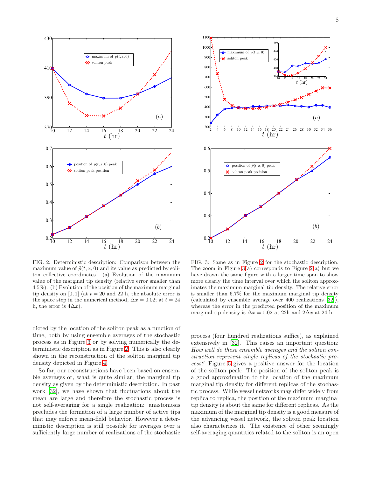

<span id="page-8-0"></span>FIG. 2: Deterministic description: Comparison between the maximum value of  $\tilde{p}(t, x, 0)$  and its value as predicted by soliton collective coordinates. (a) Evolution of the maximum value of the marginal tip density (relative error smaller than 4.5%). (b) Evolution of the position of the maximum marginal tip density on [0, 1] (at  $t = 20$  and 22 h, the absolute error is the space step in the numerical method,  $\Delta x = 0.02$ ; at  $t = 24$ h, the error is  $4\Delta x$ ).

dicted by the location of the soliton peak as a function of time, both by using ensemble averages of the stochastic process as in Figure [3](#page-8-1) or by solving numerically the deterministic description as in Figure [2.](#page-8-0) This is also clearly shown in the reconstruction of the soliton marginal tip density depicted in Figure [4.](#page-9-1)

So far, our reconstructions have been based on ensemble averages or, what is quite similar, the marginal tip density as given by the deterministic description. In past work [\[32\]](#page-16-16), we have shown that fluctuations about the mean are large and therefore the stochastic process is not self-averaging for a single realization: anastomosis precludes the formation of a large number of active tips that may enforce mean-field behavior. However a deterministic description is still possible for averages over a sufficiently large number of realizations of the stochastic



<span id="page-8-1"></span>FIG. 3: Same as in Figure [2](#page-8-0) for the stochastic description. The zoom in Figure  $3(a)$  corresponds to Figure  $2(a)$  but we have drawn the same figure with a larger time span to show more clearly the time interval over which the soliton approximates the maximum marginal tip density. The relative error is smaller than 6.7% for the maximum marginal tip density (calculated by ensemble average over 400 realizations [\[32](#page-16-16)]), whereas the error in the predicted position of the maximum marginal tip density is  $\Delta x = 0.02$  at 22h and 2 $\Delta x$  at 24 h.

process (four hundred realizations suffice), as explained extensively in [\[32\]](#page-16-16). This raises an important question: How well do these ensemble averages and the soliton construction represent single replicas of the stochastic process? Figure [5](#page-9-2) gives a positive answer for the location of the soliton peak: The position of the soliton peak is a good approximation to the location of the maximum marginal tip density for different replicas of the stochastic process. While vessel networks may differ widely from replica to replica, the position of the maximum marginal tip density is about the same for different replicas. As the maximum of the marginal tip density is a good measure of the advancing vessel network, the soliton peak location also characterizes it. The existence of other seemingly self-averaging quantities related to the soliton is an open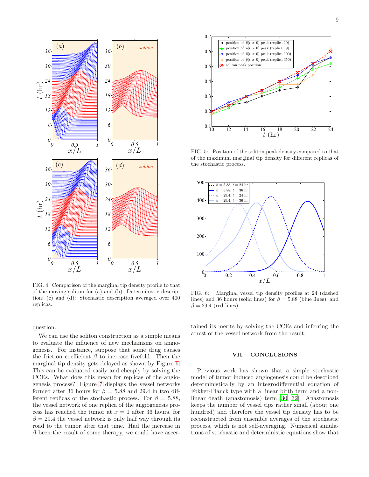

<span id="page-9-1"></span>FIG. 4: Comparison of the marginal tip density profile to that of the moving soliton for (a) and (b): Deterministic description; (c) and (d): Stochastic description averaged over 400 replicas.

question.

We can use the soliton construction as a simple means to evaluate the influence of new mechanisms on angiogenesis. For instance, suppose that some drug causes the friction coefficient  $\beta$  to increase fivefold. Then the marginal tip density gets delayed as shown by Figure [6.](#page-9-3) This can be evaluated easily and cheaply by solving the CCEs. What does this mean for replicas of the angiogenesis process? Figure [7](#page-10-1) displays the vessel networks formed after 36 hours for  $\beta = 5.88$  and 29.4 in two different replicas of the stochastic process. For  $\beta = 5.88$ , the vessel network of one replica of the angiogenesis process has reached the tumor at  $x = 1$  after 36 hours, for  $\beta = 29.4$  the vessel network is only half way through its road to the tumor after that time. Had the increase in  $\beta$  been the result of some therapy, we could have ascer-



<span id="page-9-2"></span>FIG. 5: Position of the soliton peak density compared to that of the maximum marginal tip density for different replicas of the stochastic process.



<span id="page-9-3"></span>FIG. 6: Marginal vessel tip density profiles at 24 (dashed lines) and 36 hours (solid lines) for  $\beta = 5.88$  (blue lines), and  $\beta = 29.4$  (red lines).

tained its merits by solving the CCEs and inferring the arrest of the vessel network from the result.

## <span id="page-9-0"></span>VII. CONCLUSIONS

Previous work has shown that a simple stochastic model of tumor induced angiogenesis could be described deterministically by an integrodifferential equation of Fokker-Planck type with a linear birth term and a nonlinear death (anastomosis) term [\[30,](#page-16-15) [32](#page-16-16)]. Anastomosis keeps the number of vessel tips rather small (about one hundred) and therefore the vessel tip density has to be reconstructed from ensemble averages of the stochastic process, which is not self-averaging. Numerical simulations of stochastic and deterministic equations show that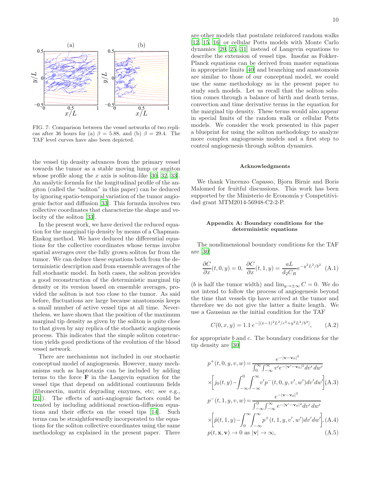

<span id="page-10-1"></span>FIG. 7: Comparison between the vessel networks of two replicas after 36 hours for (a)  $\beta = 5.88$ , and (b)  $\beta = 29.4$ . The TAF level curves have also been depicted.

the vessel tip density advances from the primary vessel towards the tumor as a stable moving lump or angiton whose profile along the  $x$  axis is soliton-like [\[30](#page-16-15), [32](#page-16-16), [33\]](#page-16-20). An analytic formula for the longitudinal profile of the angiton (called the "soliton" in this paper) can be deduced by ignoring spatio-temporal variation of the tumor angiogenic factor and diffusion [\[33\]](#page-16-20). This formula involves two collective coordinates that characterize the shape and velocity of the soliton [\[33\]](#page-16-20).

In the present work, we have derived the reduced equation for the marginal tip density by means of a Chapman-Enskog method. We have deduced the differential equations for the collective coordinates whose terms involve spatial averages over the fully grown soliton far from the tumor. We can deduce these equations both from the deterministic description and from ensemble averages of the full stochastic model. In both cases, the soliton provides a good reconstruction of the deterministic marginal tip density or its version based on ensemble averages, provided the soliton is not too close to the tumor. As said before, fluctuations are large because anastomosis keeps a small number of active vessel tips at all time. Nevertheless, we have shown that the position of the maximum marginal tip density as given by the soliton is quite close to that given by any replica of the stochastic angiogenesis process. This indicates that the simple soliton construction yields good predictions of the evolution of the blood vessel network.

There are mechanisms not included in our stochastic conceptual model of angiogenesis. However, many mechanisms such as haptotaxis can be included by adding terms to the force  $\bf{F}$  in the Langevin equation for the vessel tips that depend on additional continuum fields (fibronectin, matrix degrading enzymes, etc; see e.g., [\[21\]](#page-16-14)). The effects of anti-angiogenic factors could be treated by including additional reaction-diffusion equations and their effects on the vessel tips [\[14](#page-16-25)]. Such terms can be straightforwardly incorporated to the equations for the soliton collective coordinates using the same methodology as explained in the present paper. There 10

are other models that postulate reinforced random walks [\[12,](#page-16-11) [15,](#page-16-12) [16\]](#page-16-13) or cellular Potts models with Monte Carlo dynamics [\[20,](#page-16-17) [25,](#page-16-26) [31\]](#page-16-7) instead of Langevin equations to describe the extension of vessel tips. Insofar as Fokker-Planck equations can be derived from master equations in appropriate limits [\[40](#page-17-2)] and branching and anastomosis are similar to those of our conceptual model, we could use the same methodology as in the present paper to study such models. Let us recall that the soliton solution comes through a balance of birth and death terms, convection and time derivative terms in the equation for the marginal tip density. These terms would also appear in special limits of the random walk or cellular Potts models. We consider the work presented in this paper a blueprint for using the soliton methodology to analyze more complex angiogenesis models and a first step to control angiogenesis through soliton dynamics.

#### Acknowledgments

We thank Vincenzo Capasso, Bjorn Birnir and Boris Malomed for fruitful discussions. This work has been supported by the Ministerio de Economía y Competitividad grant MTM2014-56948-C2-2-P.

## <span id="page-10-0"></span>Appendix A: Boundary conditions for the deterministic equations

The nondimensional boundary conditions for the TAF are [\[30](#page-16-15)]

$$
\frac{\partial C}{\partial x}(t,0,y) = 0, \ \frac{\partial C}{\partial x}(t,1,y) = \frac{aL}{d_2 C_R} e^{-y^2 L^2/b^2}
$$
 (A.1)

(*b* is half the tumor width) and  $\lim_{y\to\pm\infty} C = 0$ . We do not intend to follow the process of angiogenesis beyond the time that vessels tip have arrived at the tumor and therefore we do not give the latter a finite length. We use a Gaussian as the initial condition for the TAF

$$
C(0, x, y) = 1.1 e^{-[(x-1)^2 L^2/c^2 + y^2 L^2/b^2]}, \quad (A.2)
$$

for appropriate  $b$  and  $c$ . The boundary conditions for the tip density are [\[30](#page-16-15)]

<span id="page-10-2"></span>
$$
p^{+}(t, 0, y, v, w) = \frac{e^{-|\mathbf{v} - \mathbf{v}_0|^2}}{\int_0^{\infty} \int_{-\infty}^{\infty} v' e^{-|\mathbf{v}' - \mathbf{v}_0|^2} dv' dw'}
$$
  
\n
$$
\times \left[ j_0(t, y) - \int_{-\infty}^0 \int_{-\infty}^{\infty} v' p^{-}(t, 0, y, v', w') dv' dw' \right] (A.3)
$$
  
\n
$$
p^{-}(t, 1, y, v, w) = \frac{e^{-|\mathbf{v} - \mathbf{v}_0|^2}}{\int_{-\infty}^0 \int_{-\infty}^{\infty} e^{-|\mathbf{v}' - \mathbf{v}_0|^2} dv' dw'}
$$
  
\n
$$
\times \left[ \tilde{p}(t, 1, y) - \int_0^{\infty} \int_{-\infty}^{\infty} p^{+}(t, 1, y, v', w') dv' dw' \right], (A.4)
$$
  
\n
$$
p(t, \mathbf{x}, \mathbf{v}) \to 0 \text{ as } |\mathbf{v}| \to \infty, \qquad (A.5)
$$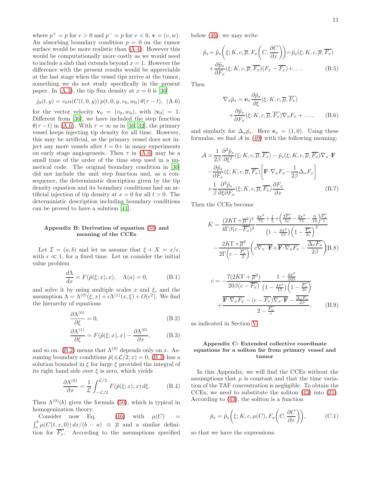where  $p^{+} = p$  for  $v > 0$  and  $p^{-} = p$  for  $v < 0$ ,  $\mathbf{v} = (v, w)$ . An absorbing boundary condition  $p = 0$  on the tumor surface would be more realistic than [\(A.4\)](#page-10-2). However this would be computationally more costly as we would need to include a slab that extends beyond  $x = 1$ . However the difference with the present results would be appreciable at the last stage when the vessel tips arrive at the tumor, something we do not study specifically in the present paper. In  $(A.3)$ , the tip flux density at  $x = 0$  is [\[30](#page-16-15)]

<span id="page-11-0"></span>
$$
j_0(t, y) = v_0 \alpha(C(t, 0, y)) p(t, 0, y, v_0, w_0) \theta(\tau - t), \quad (A.6)
$$

for the vector velocity  $\mathbf{v}_0 = (v_0, w_0)$ , with  $|\mathbf{v}_0| = 1$ . Different from [\[30\]](#page-16-15), we have included the step function  $\theta(\tau - t)$  in [\(A.6\)](#page-11-0). With  $\tau = \infty$  as in [\[30,](#page-16-15) [32](#page-16-16)], the primary vessel keeps injecting tip density for all time. However, this may be artificial, as the primary vessel does not inject any more vessels after  $t = 0+$  in many experiments on early stage angiogenesis. Then  $\tau$  in [\(A.6\)](#page-11-0) may be a small time of the order of the time step used in a numerical code. The original boundary condition in [\[30](#page-16-15)] did not include the unit step function and, as a consequence, the deterministic description given by the tip density equation and its boundary conditions had an artificial injection of tip density at  $x = 0$  for all  $t > 0$ . The deterministic description including boundary conditions can be proved to have a solution [\[41](#page-17-3)].

# <span id="page-11-1"></span>Appendix B: Derivation of equation [\(50\)](#page-6-6) and meaning of the CCEs

Let  $\mathcal{I} = (a, b)$  and let us assume that  $\xi + X = x/\epsilon$ , with  $\epsilon \ll 1$ , for a fixed time. Let us consider the initial value problem

$$
\frac{d\Lambda}{dx} = F(\tilde{p}(\xi; x), x), \quad \Lambda(a) = 0,
$$
 (B.1)

and solve it by using multiple scales x and  $\xi$ , and the assumption  $\Lambda = \Lambda^{(0)}(\xi, x) + \epsilon \Lambda^{(1)}(x, \xi) + O(\epsilon^2)$ . We find the hierarchy of equations

<span id="page-11-3"></span>
$$
\frac{\partial \Lambda^{(0)}}{\partial \xi} = 0,\tag{B.2}
$$

$$
\frac{\partial \Lambda^{(1)}}{\partial \xi} = F(\tilde{p}(\xi; x), x) - \frac{\partial \Lambda^{(0)}}{\partial x}, \quad (B.3)
$$

and so on. [\(B.2\)](#page-11-3) means that  $\Lambda^{(0)}$  depends only on x. Assuming boundary conditions  $\tilde{p}(\pm \mathcal{L}/2; x) = 0$ , [\(B.3\)](#page-11-3) has a solution bounded in  $\xi$  for large  $\xi$  provided the integral of its right hand side over  $\xi$  is zero, which yields

$$
\frac{\partial \Lambda^{(0)}}{\partial x} = \frac{1}{\mathcal{L}} \int_{-\mathcal{L}/2}^{\mathcal{L}/2} F(\tilde{p}(\xi; x), x) \, d\xi. \tag{B.4}
$$

Then  $\Lambda^{(0)}(b)$  gives the formula [\(50\)](#page-6-6), which is typical in homogenization theory.

Consider now Eq. [\(46\)](#page-5-7) with  $\mu(C)$  $\int_a^b \mu(C(t, x, 0)) dx/(b - a) \equiv \overline{\mu}$  and a similar definition for  $\overline{F_x}$ . According to the assumptions specified below [\(46\)](#page-5-7), we may write

$$
\tilde{p}_s = \tilde{p}_s \left( \xi; K, c, \overline{\mu}, F_x \left( C, \frac{\partial C}{\partial x} \right) \right) = \tilde{p}_s(\xi; K, c, \overline{\mu}, \overline{F_x}) \n+ \frac{\partial \tilde{p}_s}{\partial F_x} (\xi; K, c, \overline{\mu}, \overline{F_x}) (F_x - \overline{F_x}) + \dots
$$
\n(B.5)

Then

$$
\nabla_x \tilde{p}_s = \mathbf{e}_x \frac{\partial \tilde{p}_s}{\partial \xi} (\xi; K, c, \overline{\mu}, \overline{F_x}) + \frac{\partial \tilde{p}_s}{\partial F_x} (\xi; K, c, \overline{\mu}, \overline{F_x}) \nabla_x F_x + \dots,
$$
 (B.6)

and similarly for  $\Delta_x \tilde{p_s}$ . Here  $\mathbf{e}_x = (1,0)$ . Using these formulas, we find  $A$  in [\(49\)](#page-6-1) with the following meaning:

$$
\mathcal{A} = \frac{1}{2\beta} \frac{\partial^2 \tilde{p}_s}{\partial \xi^2} (\xi; K, c, \overline{\mu}, \overline{F_x}) - \tilde{p}_s (\xi; K, c, \overline{\mu}, \overline{F_x}) \nabla_x \cdot \mathbf{F}
$$

$$
- \frac{\partial \tilde{p}_s}{\partial F_x} (\xi; K, c, \overline{\mu}, \overline{F_x}) \left[ \mathbf{F} \cdot \nabla_x F_x - \frac{1}{2\beta} \Delta_x F_x \right]
$$

$$
+ \frac{1}{\beta} \frac{\partial^2 \tilde{p}_s}{\partial \xi \partial F_x} (\xi; K, c, \overline{\mu}, \overline{F_x}) \frac{\partial F_x}{\partial x}.
$$
(B.7)

Then the CCEs become

$$
\dot{K} = \frac{(2K\Gamma + \overline{\mu}^2)^2}{4\Gamma\beta(c - \overline{F_x})^2} \frac{\frac{4\pi^2}{75} + \frac{1}{5} + \left(\frac{2\overline{F_x}}{5c} - \frac{2\pi^2}{75} - \frac{9}{10}\right)\overline{F_x}}{\left(1 - \frac{4\pi^2}{15}\right)\left(1 - \frac{\overline{F_x}}{2c}\right)^2}
$$
\n
$$
-\frac{2K\Gamma + \overline{\mu}^2}{2\Gamma\left(c - \frac{\overline{F_x}}{2}\right)} \left(c\overline{\nabla_x \cdot \mathbf{F}} + \overline{\mathbf{F} \cdot \nabla_x F_x} - \frac{\overline{\Delta_x F_x}}{2\beta}\right) \text{B.8}
$$

$$
\dot{c} = -\frac{7(2K\Gamma + \overline{\mu}^2)}{20\beta(c - \overline{F_x})} \frac{1 - \frac{4\pi^2}{105}}{\left(1 - \frac{4\pi^2}{15}\right)\left(1 - \frac{\overline{F_x}}{2c}\right)} \n+ \frac{\overline{\mathbf{F} \cdot \nabla_x F_x} - (c - \overline{F_x}) \overline{\nabla_x \cdot \mathbf{F}} - \frac{\overline{\Delta_x F_x}}{2\beta}}{2 - \frac{\overline{F_x}}{c}}, \quad (B.9)
$$

as indicated in Section [V.](#page-5-1)

# <span id="page-11-2"></span>Appendix C: Extended collective coordinate equations for a soliton far from primary vessel and tumor

In this Appendix, we will find the CCEs without the assumptions that  $\mu$  is constant and that the time variation of the TAF concentration is negligible. To obtain the CCEs, we need to substitute the soliton [\(43\)](#page-5-6) into [\(31\)](#page-4-11). According to [\(43\)](#page-5-6), the soliton is a function

$$
\tilde{p}_s = \tilde{p}_s\bigg(\xi; K, c, \mu(C), F_x\bigg(C, \frac{\partial C}{\partial x}\bigg)\bigg),\tag{C.1}
$$

so that we have the expressions: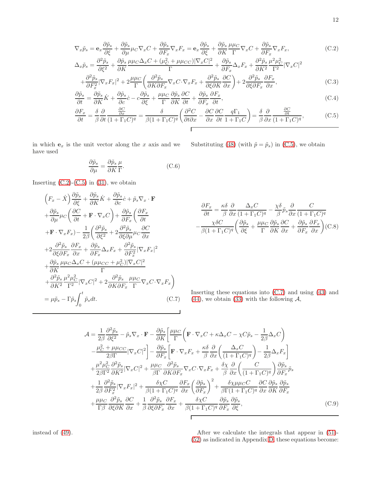<span id="page-12-0"></span>
$$
\nabla_x \tilde{p}_s = \mathbf{e}_x \frac{\partial \tilde{p}_s}{\partial \xi} + \frac{\partial \tilde{p}_s}{\partial \mu} \mu_C \nabla_x C + \frac{\partial \tilde{p}_s}{\partial F_x} \nabla_x F_x = \mathbf{e}_x \frac{\partial \tilde{p}_s}{\partial \xi} + \frac{\partial \tilde{p}_s}{\partial K} \frac{\mu \mu_C}{\Gamma} \nabla_x C + \frac{\partial \tilde{p}_s}{\partial F_x} \nabla_x F_x,
$$
\n(C.2)\n
$$
\frac{\partial^2 \tilde{p}_s}{\partial \xi} + \frac{\partial \tilde{p}_s}{\partial \xi} \mu \mu_C \nabla_x C + (\mu^2 + \mu \mu_C) |\nabla_C|^2 = \partial \tilde{p}_s \frac{\partial^2 \tilde{p}_s}{\partial \xi} \frac{\partial^2 \tilde{p}_s}{\partial \xi^2} \frac{\partial^2 \tilde{p}_s}{\partial \xi^2}.
$$

$$
\Delta_{x}\tilde{p}_{s} = \frac{\partial^{2}\tilde{p}_{s}}{\partial\xi^{2}} + \frac{\partial\tilde{p}_{s}}{\partial K} \frac{\mu\mu_{C}\Delta_{x}C + (\mu_{C}^{2} + \mu\mu_{CC})|\nabla_{x}C|^{2}}{\Gamma} + \frac{\partial\tilde{p}_{s}}{\partial F_{x}}\Delta_{x}F_{x} + \frac{\partial^{2}\tilde{p}_{s}}{\partial K^{2}}\frac{\mu^{2}\mu_{C}^{2}}{\Gamma^{2}}|\nabla_{x}C|^{2} \n+ \frac{\partial^{2}\tilde{p}_{s}}{\partial F_{x}^{2}}|\nabla_{x}F_{x}|^{2} + 2\frac{\mu\mu_{C}}{\Gamma}\left(\frac{\partial^{2}\tilde{p}_{s}}{\partial K\partial F_{x}}\nabla_{x}C\cdot\nabla_{x}F_{x} + \frac{\partial^{2}\tilde{p}_{s}}{\partial\xi\partial K}\frac{\partial C}{\partial x}\right) + 2\frac{\partial^{2}\tilde{p}_{s}}{\partial\xi\partial F_{x}}\frac{\partial F_{x}}{\partial x},
$$
\n(C.3)

$$
\frac{\partial \tilde{p}_s}{\partial t} = \frac{\partial \tilde{p}_s}{\partial K} \dot{K} + \frac{\partial \tilde{p}_s}{\partial c} \dot{c} - c \frac{\partial \tilde{p}_s}{\partial \xi} + \frac{\mu \mu C}{\Gamma} \frac{\partial \tilde{p}_s}{\partial K} \frac{\partial C}{\partial t} + \frac{\partial \tilde{p}_s}{\partial F_x} \frac{\partial F_x}{\partial t},\tag{C.4}
$$

$$
\frac{\partial F_x}{\partial t} = \frac{\delta}{\beta} \frac{\partial}{\partial t} \frac{\frac{\partial C}{\partial x}}{(1 + \Gamma_1 C)^q} = \frac{\delta}{\beta (1 + \Gamma_1 C)^q} \left( \frac{\partial^2 C}{\partial t \partial x} - \frac{\partial C}{\partial x} \frac{\partial C}{\partial t} \frac{q \Gamma_1}{1 + \Gamma_1 C} \right) = \frac{\delta}{\beta} \frac{\partial}{\partial x} \frac{\frac{\partial C}{\partial t}}{(1 + \Gamma_1 C)^q},\tag{C.5}
$$

in which  $\mathbf{e}_x$  is the unit vector along the  $x$  axis and we have used

$$
\frac{\partial \tilde{p}_s}{\partial \mu} = \frac{\partial \tilde{p}_s}{\partial K} \frac{\mu}{\Gamma}.
$$
 (C.6)

Inserting  $(C.2)-(C.5)$  $(C.2)-(C.5)$  in  $(31)$ , we obtain

<span id="page-12-1"></span>
$$
\left(F_x - \dot{X}\right) \frac{\partial \tilde{p}_s}{\partial \xi} + \frac{\partial \tilde{p}_s}{\partial K} \dot{K} + \frac{\partial \tilde{p}_s}{\partial c} \dot{c} + \tilde{p}_s \nabla_x \cdot \mathbf{F}
$$
  
+  $\frac{\partial \tilde{p}_s}{\partial \mu} \mu_C \left(\frac{\partial C}{\partial t} + \mathbf{F} \cdot \nabla_x C\right) + \frac{\partial \tilde{p}_s}{\partial F_x} \left(\frac{\partial F_x}{\partial t}\right)$   
+  $\mathbf{F} \cdot \nabla_x F_x \right) - \frac{1}{2\beta} \left(\frac{\partial^2 \tilde{p}_s}{\partial \xi^2} + 2 \frac{\partial^2 \tilde{p}_s}{\partial \xi \partial \mu} \mu_C \frac{\partial C}{\partial x}\right)$   
+  $2 \frac{\partial^2 \tilde{p}_s}{\partial \xi \partial F_x} \frac{\partial F_x}{\partial x} + \frac{\partial \tilde{p}_s}{\partial F_x} \Delta_x F_x + \frac{\partial^2 \tilde{p}_s}{\partial F_x^2} |\nabla_x F_x|^2$   
+  $\frac{\partial \tilde{p}_s}{\partial K} \frac{\mu \mu_C \Delta_x C + (\mu \mu_{CC} + \mu_C^2) |\nabla_x C|^2}{\Gamma}$   
+  $\frac{\partial^2 \tilde{p}_s}{\partial K^2} \frac{\mu^2 \mu_C^2}{\Gamma^2} |\nabla_x C|^2 + 2 \frac{\partial^2 \tilde{p}_s}{\partial K \partial F_x} \frac{\mu \mu_C}{\Gamma} \nabla_x C \cdot \nabla_x F_x \right)$   
=  $\mu \tilde{p}_s - \Gamma \tilde{p}_s \int_0^t \tilde{p}_s dt.$  (C.7)

Substituting (48) (with 
$$
\tilde{p} = \tilde{p}_s
$$
) in (C.5), we obtain

$$
\frac{\partial F_x}{\partial t} = \frac{\kappa \delta}{\beta} \frac{\partial}{\partial x} \frac{\Delta_x C}{(1 + \Gamma_1 C)^q} - \frac{\chi \delta}{\beta} \tilde{p}_s \frac{\partial}{\partial x} \frac{C}{(1 + \Gamma_1 C)^q}
$$

$$
-\frac{\chi \delta C}{\beta (1 + \Gamma_1 C)^q} \left( \frac{\partial \tilde{p}_s}{\partial \xi} + \frac{\mu \mu_C}{\Gamma} \frac{\partial \tilde{p}_s}{\partial K} \frac{\partial C}{\partial x} + \frac{\partial \tilde{p}_s}{\partial F_x} \frac{\partial F_x}{\partial x} \right) \text{(C.8)}
$$

Inserting these equations into [\(C.7\)](#page-12-1) and using [\(43\)](#page-5-6) and [\(44\)](#page-5-6), we obtain [\(33\)](#page-4-12) with the following  $A$ ,

<span id="page-12-2"></span>
$$
\mathcal{A} = \frac{1}{2\beta} \frac{\partial^2 \tilde{p}_s}{\partial \xi^2} - \tilde{p}_s \nabla_x \cdot \mathbf{F} - \frac{\partial \tilde{p}_s}{\partial K} \left[ \frac{\mu \mu_C}{\Gamma} \left( \mathbf{F} \cdot \nabla_x C + \kappa \Delta_x C - \chi C \tilde{p}_s - \frac{1}{2\beta} \Delta_x C \right) \right. \left. - \frac{\mu_C^2 + \mu \mu_{CC}}{2\beta \Gamma} |\nabla_x C|^2 \right] - \frac{\partial \tilde{p}_s}{\partial F_x} \left[ \mathbf{F} \cdot \nabla_x F_x + \frac{\kappa \delta}{\beta} \frac{\partial}{\partial x} \left( \frac{\Delta_x C}{(1 + \Gamma_1 C)^q} \right) - \frac{1}{2\beta} \Delta_x F_x \right] \left. + \frac{\mu^2 \mu_C^2}{2\beta \Gamma^2} \frac{\partial^2 \tilde{p}_s}{\partial K^2} |\nabla_x C|^2 + \frac{\mu \mu_C}{\beta \Gamma} \frac{\partial^2 \tilde{p}_s}{\partial K \partial F_x} \nabla_x C \cdot \nabla_x F_x + \frac{\delta \chi}{\beta} \frac{\partial}{\partial x} \left( \frac{C}{(1 + \Gamma_1 C)^q} \right) \frac{\partial \tilde{p}_s}{\partial F_x} \tilde{p}_s \right. \left. + \frac{1}{2\beta} \frac{\partial^2 \tilde{p}_s}{\partial F_x^2} |\nabla_x F_x|^2 + \frac{\delta \chi C}{\beta (1 + \Gamma_1 C)^q} \frac{\partial F_x}{\partial x} \left( \frac{\partial \tilde{p}_s}{\partial F_x} \right)^2 + \frac{\delta \chi \mu \mu_C C}{\beta \Gamma (1 + \Gamma_1 C)^q} \frac{\partial C}{\partial x} \frac{\partial \tilde{p}_s}{\partial K} \frac{\partial \tilde{p}_s}{\partial F_x} \right. \left. + \frac{\mu \mu_C}{\Gamma \beta} \frac{\partial^2 \tilde{p}_s}{\partial \xi \partial K} \frac{\partial C}{\partial x} + \frac{1}{\beta} \frac{\partial^2 \tilde{p}_s}{\partial \xi \partial F_x} \frac{\partial F_x}{\partial x} + \frac{\delta \chi C}{\beta (1 + \Gamma_1 C)^q} \frac{\partial \til
$$

instead of [\(49\)](#page-6-1). After we calculate the integrals that appear in [\(51\)](#page-6-2)-[\(52\)](#page-6-3) as indicated in Appendix [D,](#page-14-0) these equations become: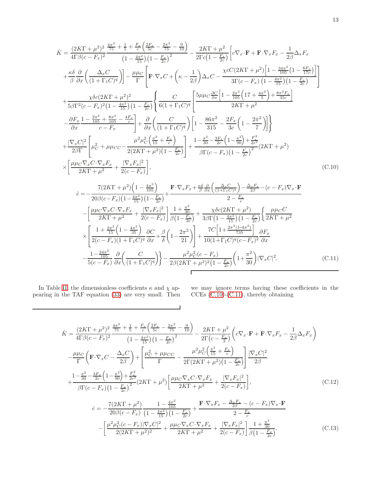<span id="page-13-0"></span>
$$
\dot{K} = \frac{(2KT + \mu^2)^2}{4T_0^5 - \mu^2} \frac{4\frac{\pi^2}{75} + \frac{1}{5} + \frac{E}{c} \left( \frac{2E}{5c} - \frac{2\pi^2}{75} - \frac{3}{10} \right)}{(1 - \frac{E}{15}) \left( 1 - \frac{E}{2c} \right)^2} - \frac{2KT + \mu^2}{2\Gamma c \left( 1 - \frac{E}{2c} \right)} \left[ c \nabla_x \cdot \mathbf{F} + \mathbf{F} \cdot \nabla_x F_x - \frac{1}{2\beta} \Delta_x F_x \right] \n+ \frac{\kappa \delta}{\beta} \frac{\partial}{\partial x} \left( \frac{\Delta_x C}{(1 + \Gamma_1 C)^q} \right) \right] - \frac{\mu \mu C}{\Gamma} \left[ \mathbf{F} \cdot \nabla_x C + \left( \kappa - \frac{1}{2\beta} \right) \Delta_x C - \frac{\chi c C (2KT + \mu^2) \left[ 1 - \frac{34\pi^2}{15} (1 - \frac{6F_x}{15}) \right]}{3\Gamma (c - F_x) \left( 1 - \frac{4\pi^2}{15} \right) (1 - \frac{F_x}{2c})} \right] \n+ \frac{\chi \delta c (2KT + \mu^2)^2}{5\beta \Gamma^2 (c - F_x)^2 (1 - \frac{4\pi^2}{15}) (1 - \frac{F_x}{2c})} \left\{ \frac{C}{6(1 + \Gamma_1 C)^q} \left[ \frac{5\mu \mu c \frac{\partial C}{\partial x} \left[ 1 - \frac{2\pi^2}{105} (17 + \frac{4\pi^2}{5}) + \frac{8\pi^2 F_x}{35c} \right]}{2KT + \mu^2} - \frac{\partial F_x}{\partial x} \frac{1 - \frac{2\pi^2}{105} + \frac{8\pi^4}{105} - \frac{4F_x}{c}}{c - F_x} \right] + \frac{\partial}{\partial x} \left( \frac{C}{(1 + \Gamma_1 C)^q} \right) \left[ 1 - \frac{86\pi^2}{315} - \frac{2F_x}{3c} \left( 1 - \frac{2\pi^2}{7} \right) \right] \right\} \n+ \frac{|\nabla_x C|^2}{2\beta \Gamma
$$

 $\Gamma$ 

 $\overline{\phantom{0}}$ 

<span id="page-13-1"></span>In Table [II,](#page-3-4) the dimensionless coefficients  $\kappa$  and  $\chi$  appearing in the TAF equation [\(33\)](#page-4-12) are very small. Then we may ignore terms having these coefficients in the CCEs [\(C.10\)](#page-13-0)-[\(C.11\)](#page-13-1), thereby obtaining

<span id="page-13-3"></span><span id="page-13-2"></span>
$$
\dot{K} = \frac{(2K\Gamma + \mu^2)^2}{4\Gamma\beta(c - F_x)^2} \frac{\frac{4\pi^2}{75} + \frac{1}{5} + \frac{F_x}{c} \left(\frac{2F_x}{5c} - \frac{2\pi^2}{75} - \frac{9}{10}\right)}{(1 - \frac{4\pi^2}{15})(1 - \frac{F_x}{2c})^2} - \frac{2K\Gamma + \mu^2}{2\Gamma(c - \frac{F_x}{2})} \left(c\nabla_x \cdot \mathbf{F} + \mathbf{F} \cdot \nabla_x F_x - \frac{1}{2\beta} \Delta_x F_x\right)
$$
\n
$$
-\frac{\mu\mu_C}{\Gamma} \left(\mathbf{F} \cdot \nabla_x C - \frac{\Delta_x C}{2\beta}\right) + \left[\frac{\mu_C^2 + \mu\mu_{CC}}{\Gamma} - \frac{\mu^2\mu_C^2 \left(\frac{\pi^2}{15} + \frac{F_x}{c}\right)}{2\Gamma(2K\Gamma + \mu^2)(1 - \frac{F_x}{2c})}\right] \frac{|\nabla_x C|^2}{2\beta}
$$
\n
$$
+\frac{1 - \frac{\pi^2}{30} - \frac{3F_x}{2c} \left(1 - \frac{\pi^2}{90}\right) + \frac{F_x^2}{2c^2}}{\beta\Gamma(c - F_x)(1 - \frac{F_x}{2c})^2} (2K\Gamma + \mu^2) \left[\frac{\mu\mu_C \nabla_x C \cdot \nabla_x F_x}{2K\Gamma + \mu^2} + \frac{|\nabla_x F_x|^2}{2(c - F_x)}\right],\tag{C.12}
$$
\n
$$
\dot{c} = -\frac{7(2K\Gamma + \mu^2)}{20\beta(c - F_x)} \frac{1 - \frac{4\pi^2}{105}}{(1 - \frac{4\pi^2}{15})(1 - \frac{F_x}{2c})} + \frac{\mathbf{F} \cdot \nabla_x F_x - \frac{\Delta_x F_x}{2\beta} - (c - F_x)\nabla_x \cdot \mathbf{F}}{2 - \frac{F_x}{c}}
$$
\n
$$
-\left[\frac{\mu^2\mu_C^2(c - F_x)|\nabla_x C|^2}{2(2K\Gamma + \mu^2)^2} + \frac{\mu\mu_C \nabla_x C \cdot \nabla_x F_x}{2K\Gamma + \mu^2} + \frac{|\nab
$$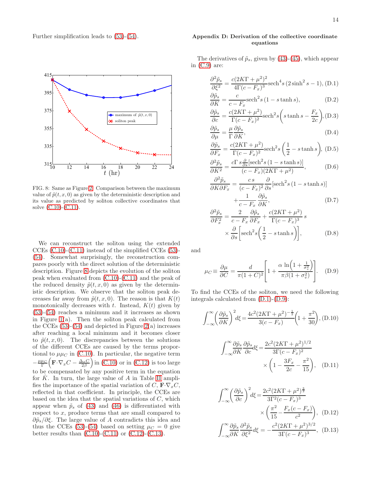

<span id="page-14-1"></span>FIG. 8: Same as Figure [2:](#page-8-0) Comparison between the maximum value of  $\tilde{p}(t, x, 0)$  as given by the deterministic description and its value as predicted by soliton collective coordinates that solve [\(C.10\)](#page-13-0)-[\(C.11\)](#page-13-1).

We can reconstruct the soliton using the extended CCEs [\(C.10\)](#page-13-0)-[\(C.11\)](#page-13-1) instead of the simplified CCEs [\(53\)](#page-6-4)- [\(54\)](#page-6-5). Somewhat surprisingly, the reconstruction compares poorly with the direct solution of the deterministic description. Figure [8](#page-14-1) depicts the evolution of the soliton peak when evaluated from [\(C.10\)](#page-13-0)-[\(C.11\)](#page-13-1) and the peak of the reduced density  $\tilde{p}(t, x, 0)$  as given by the deterministic description. We observe that the soliton peak decreases far away from  $\tilde{p}(t, x, 0)$ . The reason is that  $K(t)$ monotonically decreases with t. Instead,  $K(t)$  given by [\(53\)](#page-6-4)-[\(54\)](#page-6-5) reaches a minimum and it increases as shown in Figure  $1(a)$ . Then the soliton peak calculated from the CCEs  $(53)-(54)$  $(53)-(54)$  and depicted in Figure  $2(a)$  increases after reaching a local minimum and it becomes closer to  $\tilde{p}(t, x, 0)$ . The discrepancies between the solutions of the different CCEs are caused by the terms proportional to  $\mu \mu_C$  in [\(C.10\)](#page-13-0). In particular, the negative term  $-\frac{\mu\mu_C}{\Gamma}\Big(\mathbf{F}\cdot\nabla_x C-\frac{\Delta_x C}{2\beta}\Big)$  in [\(C.10\)](#page-13-0) or in [\(C.12\)](#page-13-2) is too large to be compensated by any positive term in the equation for  $\dot{K}$ . In turn, the large value of  $A$  in Table [II](#page-3-4) amplifies the importance of the spatial variation of C,  $\mathbf{F} \cdot \nabla_x C$ , reflected in that coefficient. In principle, the CCEs are based on the idea that the spatial variations of  $C$ , which appear when  $\tilde{p}_s$  of [\(43\)](#page-5-6) and [\(46\)](#page-5-7) is differentiated with respect to x, produce terms that are small compared to  $\partial \tilde{\rho}_s/\partial \xi$ . The large value of A contradicts this idea and thus the CCEs [\(53\)](#page-6-4)-[\(54\)](#page-6-5) based on setting  $\mu_C = 0$  give better results than  $(C.10)-(C.11)$  $(C.10)-(C.11)$  or  $(C.12)-(C.13)$  $(C.12)-(C.13)$ .

# <span id="page-14-0"></span>Appendix D: Derivation of the collective coordinate equations

The derivatives of  $\tilde{p}_s$ , given by [\(43\)](#page-5-6)-[\(45\)](#page-5-6), which appear in  $(C.9)$  are:

<span id="page-14-2"></span>
$$
\frac{\partial^2 \tilde{p}_s}{\partial \xi^2} = \frac{c(2K\Gamma + \mu^2)^2}{4\Gamma(c - F_x)^3} \text{sech}^4 s (2\sinh^2 s - 1), \text{(D.1)}
$$

$$
\frac{\partial \tilde{p}_s}{\partial K} = \frac{c}{c - F_x} \text{sech}^2 s (1 - s \tanh s),\tag{D.2}
$$

$$
\frac{\partial \tilde{p}_s}{\partial c} = \frac{c(2K\Gamma + \mu^2)}{\Gamma(c - F_x)^2} \text{sech}^2 s \left( s \tanh s - \frac{F_x}{2c} \right), \text{(D.3)}
$$

$$
\frac{\partial \tilde{p}_s}{\partial \mu} = \frac{\mu}{\Gamma} \frac{\partial \tilde{p}_s}{\partial K},\tag{D.4}
$$

$$
\frac{\partial \tilde{p}_s}{\partial F_x} = \frac{c(2K\Gamma + \mu^2)}{\Gamma(c - F_x)^2} \text{sech}^2 s\left(\frac{1}{2} - s \tanh s\right), \text{(D.5)}
$$

$$
\frac{\partial^2 \tilde{p}_s}{\partial K^2} = \frac{c\Gamma s \frac{\partial}{\partial s} [\text{sech}^2 s (1 - s \tanh s)]}{(c - F_x)(2K\Gamma + \mu^2)},
$$
(D.6)

$$
\frac{\partial^2 \tilde{p}_s}{\partial K \partial F_x} = \frac{cs}{(c - F_x)^2} \frac{\partial}{\partial s} [\text{sech}^2 s (1 - s \tanh s)] + \frac{1}{c - F_x} \frac{\partial \tilde{p}_s}{\partial K},
$$
\n(D.7)

$$
\frac{\partial^2 \tilde{p}_s}{\partial F_x^2} = \frac{2}{c - F_x} \frac{\partial \tilde{p}_s}{\partial F_x} + \frac{c(2K\Gamma + \mu^2)}{\Gamma(c - F_x)^3} s
$$

$$
\times \frac{\partial}{\partial s} \left[ \operatorname{sech}^2 s \left( \frac{1}{2} - s \tanh s \right) \right], \tag{D.8}
$$

and

<span id="page-14-3"></span>
$$
\mu_C \equiv \frac{\partial \mu}{\partial C} = \frac{d}{\pi (1 + C)^2} \left[ 1 + \frac{\alpha \ln \left( 1 + \frac{1}{\sigma_v^2} \right)}{\pi \beta (1 + \sigma_v^2)} \right]. \quad (D.9)
$$

To find the CCEs of the soliton, we need the following integrals calculated from [\(D.1\)](#page-14-2)-[\(D.9\)](#page-14-3):

$$
\int_{-\infty}^{\infty} \left(\frac{\partial \tilde{p}_s}{\partial K}\right)^2 d\xi = \frac{4c^2(2K\Gamma + \mu^2)^{-\frac{1}{2}}}{3(c - F_x)} \left(1 + \frac{\pi^2}{30}\right), \text{(D.10)}
$$

$$
\int_{-\infty}^{\infty} \frac{\partial \tilde{p}_s}{\partial K} \frac{\partial \tilde{p}_s}{\partial c} d\xi = \frac{2c^2 (2K\Gamma + \mu^2)^{1/2}}{3\Gamma(c - F_x)^2} \times \left(1 - \frac{3F_x}{2c} - \frac{\pi^2}{15}\right), \quad (D.11)
$$

$$
\int_{-\infty}^{\infty} \left(\frac{\partial \tilde{p}_s}{\partial c}\right)^2 d\xi = \frac{2c^2(2K\Gamma + \mu^2)^{\frac{3}{2}}}{3\Gamma^2(c - F_x)^3} \times \left(\frac{\pi^2}{15} - \frac{F_x(c - F_x)}{c^2}\right), \quad (D.12)
$$

$$
\int_{-\infty}^{\infty} \frac{\partial \tilde{p}_s}{\partial K} \frac{\partial^2 \tilde{p}_s}{\partial \xi^2} d\xi = -\frac{c^2(2K\Gamma + \mu^2)^{3/2}}{3\Gamma(c - F_x)^3}, \quad (D.13)
$$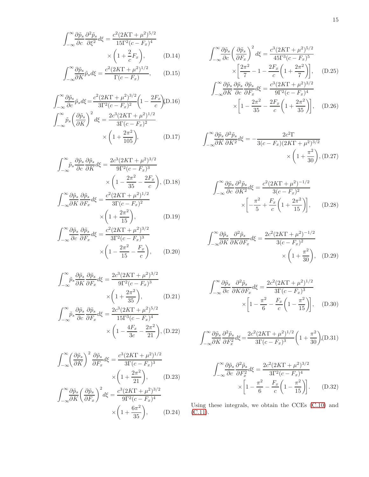$$
\int_{-\infty}^{\infty} \frac{\partial \tilde{p}_s}{\partial c} \frac{\partial^2 \tilde{p}_s}{\partial \xi^2} d\xi = \frac{c^2 (2K\Gamma + \mu^2)^{5/2}}{15\Gamma^2 (c - F_x)^4}
$$

$$
\times \left(1 + \frac{2}{c} F_x\right), \qquad (D.14)
$$

$$
\int_{-\infty}^{\infty} \frac{\partial \tilde{p}_s}{\partial K} \tilde{p}_s d\xi = \frac{c^2 (2K\Gamma + \mu^2)^{1/2}}{\Gamma(c - F_x)}, \quad (D.15)
$$

$$
\int_{-\infty}^{\infty} \frac{\partial \tilde{p}_s}{\partial c} \tilde{p}_s d\xi = \frac{c^2 (2K\Gamma + \mu^2)^{3/2}}{3\Gamma^2 (c - F_x)^2} \left(1 - \frac{2F_x}{c}\right) (D.16)
$$

$$
\int_{-\infty}^{\infty} \tilde{p}_s \left(\frac{\partial \tilde{p}_s}{\partial K}\right)^2 d\xi = \frac{2c^3 (2K\Gamma + \mu^2)^{1/2}}{3\Gamma (c - F_x)^2}
$$

$$
\times \left(1 + \frac{2\pi^2}{105}\right), \tag{D.17}
$$

$$
\int_{-\infty}^{\infty} \tilde{p}_s \frac{\partial \tilde{p}_s}{\partial c} \frac{\partial \tilde{p}_s}{\partial K} d\xi = \frac{2c^3(2K\Gamma + \mu^2)^{3/2}}{9\Gamma^2(c - F_x)^3} \times \left(1 - \frac{2\pi^2}{35} - \frac{2F_x}{c}\right), \text{(D.18)}
$$

$$
\int_{-\infty}^{\infty} \frac{\partial \tilde{p}_s}{\partial K} \frac{\partial \tilde{p}_s}{\partial F_x} d\xi = \frac{c^2(2K\Gamma + \mu^2)^{1/2}}{3\Gamma(c - F_x)^2} \times \left(1 + \frac{2\pi^2}{15}\right), \qquad \text{(D.19)}
$$

$$
\int_{-\infty}^{\infty} \frac{\partial \tilde{p}_s}{\partial c} \frac{\partial \tilde{p}_s}{\partial F_x} d\xi = \frac{c^2(2K\Gamma + \mu^2)^{3/2}}{3\Gamma^2(c - F_x)^3}
$$

$$
\times \left(1 - \frac{2\pi^2}{15} - \frac{F_x}{c}\right), \qquad (D.20)
$$

$$
\int_{-\infty}^{\infty} \tilde{p}_s \frac{\partial \tilde{p}_s}{\partial K} \frac{\partial \tilde{p}_s}{\partial F_x} d\xi = \frac{2c^3 (2K\Gamma + \mu^2)^{3/2}}{9\Gamma^2 (c - F_x)^3} \times \left(1 + \frac{2\pi^2}{35}\right), \qquad (D.21)
$$

$$
\int_{-\infty}^{\infty} \tilde{p}_s \frac{\partial \tilde{p}_s}{\partial c} \frac{\partial \tilde{p}_s}{\partial F_x} d\xi = \frac{2c^3 (2K\Gamma + \mu^2)^{5/2}}{15\Gamma^3 (c - F_x)^4} \times \left(1 - \frac{4F_x}{3c} - \frac{2\pi^2}{21}\right), \qquad (D.22)
$$

$$
\int_{-\infty}^{\infty} \left(\frac{\partial \tilde{p}_s}{\partial K}\right)^2 \frac{\partial \tilde{p}_s}{\partial F_x} d\xi = \frac{c^3 (2K\Gamma + \mu^2)^{1/2}}{3\Gamma(c - F_x)^3} \times \left(1 + \frac{2\pi^2}{21}\right), \qquad (D.23)
$$

$$
\int_{-\infty}^{\infty} \frac{\partial \tilde{p}_s}{\partial K} \left(\frac{\partial \tilde{p}_s}{\partial F_x}\right)^2 d\xi = \frac{c^3 (2K\Gamma + \mu^2)^{3/2}}{9\Gamma^2(c - F_x)^4} \times \left(1 + \frac{6\pi^2}{35}\right), \qquad (D.24)
$$

$$
\int_{-\infty}^{\infty} \frac{\partial \tilde{p}_s}{\partial c} \left( \frac{\partial \tilde{p}_s}{\partial F_x} \right)^2 d\xi = \frac{c^3 (2K\Gamma + \mu^2)^{5/2}}{45\Gamma^3 (c - F_x)^5} \times \left[ \frac{2\pi^2}{7} - 1 - \frac{2F_x}{c} \left( 1 + \frac{2\pi^2}{7} \right) \right], \quad (D.25)
$$

$$
\int_{-\infty}^{\infty} \frac{\partial \tilde{p}_s}{\partial K} \frac{\partial \tilde{p}_s}{\partial c} \frac{\partial \tilde{p}_s}{\partial F_x} d\xi = \frac{c^3 (2K\Gamma + \mu^2)^{3/2}}{9\Gamma^2 (c - F_x)^4} \times \left[ 1 - \frac{2\pi^2}{35} - \frac{2F_x}{c} \left( 1 + \frac{2\pi^2}{35} \right) \right], \quad (D.26)
$$

$$
\int_{-\infty}^{\infty} \frac{\partial \tilde{p}_s}{\partial K} \frac{\partial^2 \tilde{p}_s}{\partial K^2} d\xi = -\frac{2c^2 \Gamma}{3(c - F_x)(2K\Gamma + \mu^2)^{3/2}} \times \left(1 + \frac{\pi^2}{30}\right), \text{(D.27)}
$$

$$
\int_{-\infty}^{\infty} \frac{\partial \tilde{p}_s}{\partial c} \frac{\partial^2 \tilde{p}_s}{\partial K^2} d\xi = \frac{c^2 (2K\Gamma + \mu^2)^{-1/2}}{3(c - F_x)^2} \times \left[ -\frac{\pi^2}{5} + \frac{F_x}{c} \left( 1 + \frac{2\pi^2}{15} \right) \right], \quad (D.28)
$$

$$
\int_{-\infty}^{\infty} \frac{\partial \tilde{p}_s}{\partial K} \frac{\partial^2 \tilde{p}_s}{\partial K \partial F_x} d\xi = \frac{2c^2 (2K\Gamma + \mu^2)^{-1/2}}{3(c - F_x)^2} \times \left(1 + \frac{\pi^2}{30}\right), \quad (D.29)
$$

$$
\int_{-\infty}^{\infty} \frac{\partial \tilde{p}_s}{\partial c} \frac{\partial^2 \tilde{p}_s}{\partial K \partial F_x} d\xi = \frac{2c^2 (2KT + \mu^2)^{1/2}}{3\Gamma(c - F_x)^3} \times \left[1 - \frac{\pi^2}{6} - \frac{F_x}{c} \left(1 - \frac{\pi^2}{15}\right)\right], \quad (D.30)
$$

$$
\int_{-\infty}^{\infty} \frac{\partial \tilde{p}_s}{\partial K} \frac{\partial^2 \tilde{p}_s}{\partial F_x^2} d\xi = \frac{2c^2 (2K\Gamma + \mu^2)^{1/2}}{3\Gamma(c - F_x)^3} \left(1 + \frac{\pi^2}{30}\right), (D.31)
$$

$$
\int_{-\infty}^{\infty} \frac{\partial \tilde{p}_s}{\partial c} \frac{\partial^2 \tilde{p}_s}{\partial F_x^2} d\xi = \frac{2c^2 (2K\Gamma + \mu^2)^{3/2}}{3\Gamma^2 (c - F_x)^4}
$$

$$
\times \left[1 - \frac{\pi^2}{6} - \frac{F_x}{c} \left(1 - \frac{\pi^2}{15}\right)\right].
$$
 (D.32)

Using these integrals, we obtain the CCEs [\(C.10\)](#page-13-0) and  $(C.11)$ .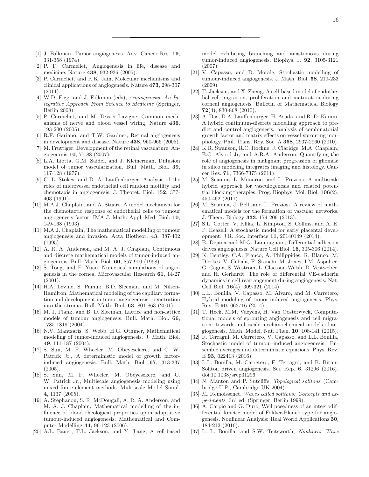- <span id="page-16-0"></span>[1] J. Folkman, Tumor angiogenesis. Adv. Cancer Res. 19, 331-358 (1974).
- <span id="page-16-2"></span>[2] P. F. Carmeliet, Angiogenesis in life, disease and medicine. Nature 438, 932-936 (2005).
- <span id="page-16-3"></span>[3] P. Carmeliet, and R.K. Jain, Molecular mechanisms and clinical applications of angiogenesis. Nature 473, 298-307  $(2011).$
- <span id="page-16-1"></span>[4] W.D. Figg, and J. Folkman (eds), *Angiogenesis. An Integrative Approach From Science to Medicine* (Springer, Berlin 2008).
- <span id="page-16-4"></span>[5] P. Carmeliet, and M. Tessier-Lavigne, Common mechanisms of nerve and blood vessel wiring. Nature 436, 193-200 (2005).
- [6] R.F. Gariano, and T.W. Gardner, Retinal angiogenesis in development and disease. Nature 438, 960-966 (2005).
- <span id="page-16-5"></span>[7] M. Fruttiger, Development of the retinal vasculature. Angiogenesis 10, 77-88 (2007).
- <span id="page-16-6"></span>[8] L.A. Liotta, G.M. Saidel, and J. Kleinerman, Diffusion model of tumor vascularization. Bull. Math. Biol. 39, 117-128 (1977).
- <span id="page-16-10"></span>[9] C. L. Stokes, and D. A. Lauffenburger, Analysis of the roles of microvessel endothelial cell random motility and chemotaxis in angiogenesis. J. Theoret. Biol. 152, 377- 403 (1991).
- <span id="page-16-8"></span>[10] M.A.J. Chaplain, and A. Stuart, A model mechanism for the chemotactic response of endothelial cells to tumour angiogenesis factor. IMA J. Math. Appl. Med. Biol. 10, 149-168 (1993).
- <span id="page-16-9"></span>[11] M.A.J. Chaplain, The mathematical modelling of tumour angiogenesis and invasion. Acta Biotheor. 43, 387-402 (1995).
- <span id="page-16-11"></span>[12] A. R. A. Anderson, and M. A. J. Chaplain, Continuous and discrete mathematical models of tumor-induced angiogenesis. Bull. Math. Biol. 60, 857-900 (1998).
- [13] S. Tong, and F. Yuan, Numerical simulations of angiogenesis in the cornea. Microvascular Research 61, 14-27 (2001).
- <span id="page-16-25"></span>[14] H.A. Levine, S. Pamuk, B.D. Sleeman, and M. Nilsen-Hamilton, Mathematical modeling of the capillary formation and development in tumor angiogenesis: penetration into the stroma. Bull. Math. Biol. 63, 801-863 (2001).
- <span id="page-16-12"></span>[15] M. J. Plank, and B. D. Sleeman, Lattice and non-lattice models of tumour angiogenesis. Bull. Math. Biol. 66, 1785-1819 (2004).
- <span id="page-16-13"></span>[16] N.V. Mantzaris, S. Webb, H.G. Othmer, Mathematical modeling of tumor-induced angiogenesis. J. Math. Biol. 49, 111-187 (2004).
- [17] S. Sun, M. F. Wheeler, M. Obeyesekere, and C. W. Patrick Jr., A deterministic model of growth factorinduced angiogenesis. Bull. Math. Biol. 67, 313-337 (2005).
- [18] S. Sun, M. F. Wheeler, M. Obeyesekere, and C. W. Patrick Jr., Multiscale angiogenesis modeling using mixed finite element methods. Multiscale Model Simul. 4, 1137 (2005).
- [19] A. Stéphanou, S. R. McDougall, A. R. A. Anderson, and M. A. J. Chaplain, Mathematical modelling of the influence of blood rheological properties upon adaptative tumour-induced angiogenesis. Mathematical and Computer Modelling 44, 96-123 (2006).
- <span id="page-16-17"></span>[20] A.L. Bauer, T.L. Jackson, and Y. Jiang, A cell-based

model exhibiting branching and anastomosis during tumor-induced angiogenesis. Biophys. J. 92, 3105-3121 (2007).

- <span id="page-16-14"></span>[21] V. Capasso, and D. Morale, Stochastic modelling of tumour-induced angiogenesis. J. Math. Biol. 58, 219-233  $(2009)$
- <span id="page-16-18"></span>[22] T. Jackson, and X. Zheng, A cell-based model of endothelial cell migration, proliferation and maturation during corneal angiogenesis. Bulletin of Mathematical Biology 72(4), 830-868 (2010).
- [23] A. Das, D.A. Lauffenburger, H. Asada, and R. D. Kamm, A hybrid continuum-discrete modelling approach to predict and control angiogenesis: analysis of combinatorial growth factor and matrix effects on vessel-sprouting morphology. Phil. Trans. Roy. Soc. A 368, 2937-2960 (2010).
- [24] K.R. Swanson, R.C. Rockne, J. Claridge, M.A. Chaplain, E.C. Alvord Jr, and A.R.A. Anderson, Quantifying the role of angiogenesis in malignant progression of gliomas: in silico modeling integrates imaging and histology. Cancer Res. 71, 7366-7375 (2011).
- <span id="page-16-26"></span>[25] M. Scianna, L. Munaron, and L. Preziosi, A multiscale hybrid approach for vasculogenesis and related potential blocking therapies. Prog. Biophys. Mol. Biol. 106(2), 450-462 (2011).
- [26] M. Scianna, J. Bell, and L. Preziosi, A review of mathematical models for the formation of vascular networks. J. Theor. Biology 333, 174-209 (2013).
- [27] S.L. Cotter, V. Klika, L. Kimpton, S. Collins, and A. E. P. Heazell, A stochastic model for early placental development. J.R. Soc. Interface 11, 20140149 (2014).
- [28] E. Dejana and M.G. Lampugnani, Differential adhesion drives angiogenesis. Nature Cell Biol. 16, 305-306 (2014).
- <span id="page-16-19"></span>[29] K. Bentley, C.A. Franco, A. Philippides, R. Blanco, M. Dierkes, V. Gebala, F. Stanchi, M. Jones, I.M. Aspalter, G. Cagna, S. Weström, L. Claesson-Welsh, D. Vestweber, and H. Gerhardt, The role of differential VE-cadherin dynamics in cell rearrangement during angiogenesis. Nat. Cell Biol. 16(4), 309-321 (2014).
- <span id="page-16-15"></span>[30] L.L. Bonilla, V. Capasso, M. Alvaro, and M. Carretero, Hybrid modeling of tumor-induced angiogenesis. Phys. Rev. E 90, 062716 (2014).
- <span id="page-16-7"></span>[31] T. Heck, M.M. Vaeyens, H. Van Oosterwyck, Computational models of sprouting angiogenesis and cell migration: towards multiscale mechanochemical models of angiogenesis. Math. Model. Nat. Phen. 10, 108-141 (2015).
- <span id="page-16-16"></span>[32] F. Terragni, M. Carretero, V. Capasso, and L.L. Bonilla, Stochastic model of tumour-induced angiogenesis: Ensemble averages and deterministic equations. Phys. Rev. E 93, 022413 (2016).
- <span id="page-16-20"></span>[33] L.L. Bonilla, M. Carretero, F. Terragni, and B. Birnir, Soliton driven angiogenesis. Sci. Rep. 6, 31296 (2016). doi:10.1038/srep31296.
- <span id="page-16-21"></span>[34] N. Manton and P. Sutcliffe, *Topological solitons* (Cambridge U.P., Cambridge UK 2004).
- <span id="page-16-22"></span>[35] M. Remoissenet, *Waves called solitons: Concepts and experiments*, 3rd ed. (Springer, Berlin 1999).
- <span id="page-16-23"></span>[36] A. Carpio and G. Duro, Well posedness of an integrodifferential kinetic model of Fokker-Planck type for angiogenesis. Nonlinear Analysis: Real World Applications 30, 184-212 (2016).
- <span id="page-16-24"></span>[37] L. L. Bonilla, and S.W. Teitsworth, *Nonlinear Wave*